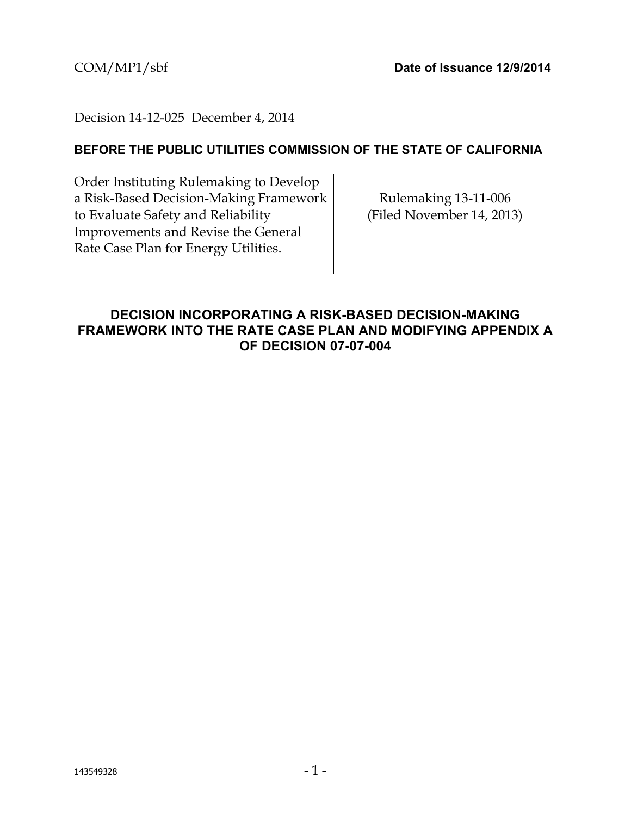# Decision 14-12-025 December 4, 2014

## **BEFORE THE PUBLIC UTILITIES COMMISSION OF THE STATE OF CALIFORNIA**

Order Instituting Rulemaking to Develop a Risk-Based Decision-Making Framework to Evaluate Safety and Reliability Improvements and Revise the General Rate Case Plan for Energy Utilities.

Rulemaking 13-11-006 (Filed November 14, 2013)

# <span id="page-0-0"></span>**DECISION INCORPORATING A RISK-BASED DECISION-MAKING FRAMEWORK INTO THE RATE CASE PLAN AND MODIFYING APPENDIX A OF DECISION 07-07-004**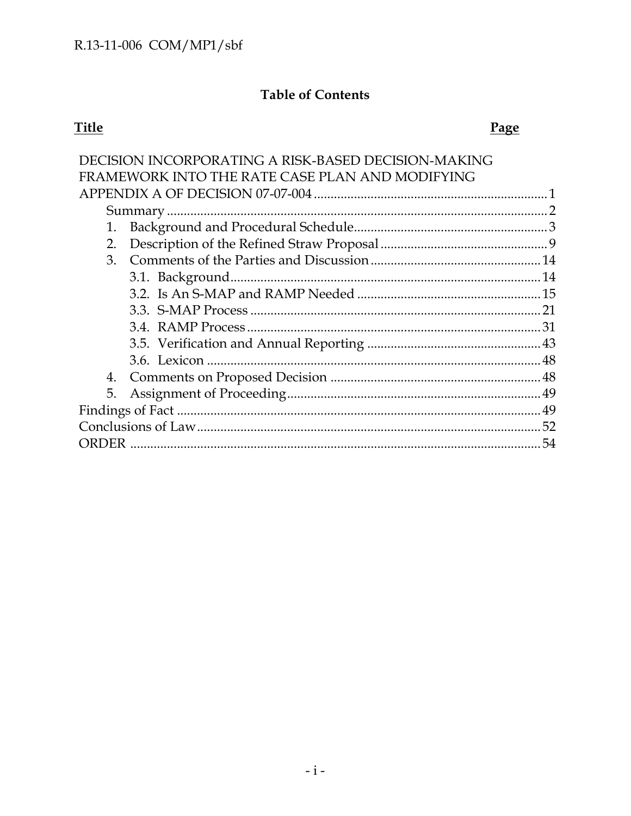# **Table of Contents**

# **Title**

# Page

|    | DECISION INCORPORATING A RISK-BASED DECISION-MAKING |    |
|----|-----------------------------------------------------|----|
|    | FRAMEWORK INTO THE RATE CASE PLAN AND MODIFYING     |    |
|    |                                                     |    |
|    |                                                     |    |
| 1. |                                                     |    |
| 2. |                                                     |    |
| 3. |                                                     |    |
|    |                                                     |    |
|    |                                                     |    |
|    |                                                     |    |
|    |                                                     |    |
|    |                                                     |    |
|    |                                                     |    |
|    |                                                     |    |
| 5. |                                                     |    |
|    |                                                     |    |
|    |                                                     |    |
|    |                                                     | 54 |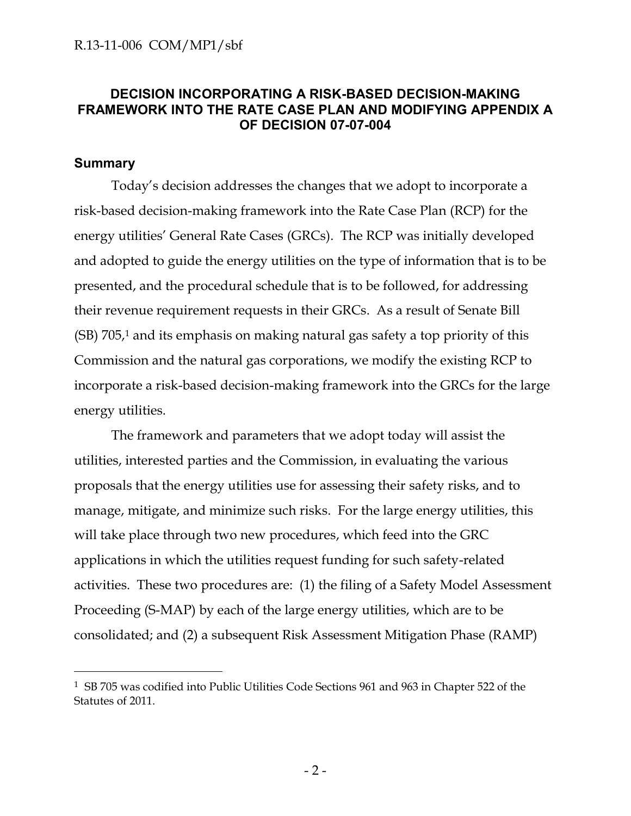# **DECISION INCORPORATING A RISK-BASED DECISION-MAKING FRAMEWORK INTO THE RATE CASE PLAN AND MODIFYING APPENDIX A OF DECISION 07-07-004**

### <span id="page-2-0"></span>**Summary**

 $\overline{a}$ 

Today's decision addresses the changes that we adopt to incorporate a risk-based decision-making framework into the Rate Case Plan (RCP) for the energy utilities' General Rate Cases (GRCs). The RCP was initially developed and adopted to guide the energy utilities on the type of information that is to be presented, and the procedural schedule that is to be followed, for addressing their revenue requirement requests in their GRCs. As a result of Senate Bill (SB) 705, <sup>1</sup> and its emphasis on making natural gas safety a top priority of this Commission and the natural gas corporations, we modify the existing RCP to incorporate a risk-based decision-making framework into the GRCs for the large energy utilities.

The framework and parameters that we adopt today will assist the utilities, interested parties and the Commission, in evaluating the various proposals that the energy utilities use for assessing their safety risks, and to manage, mitigate, and minimize such risks. For the large energy utilities, this will take place through two new procedures, which feed into the GRC applications in which the utilities request funding for such safety-related activities. These two procedures are: (1) the filing of a Safety Model Assessment Proceeding (S-MAP) by each of the large energy utilities, which are to be consolidated; and (2) a subsequent Risk Assessment Mitigation Phase (RAMP)

<sup>1</sup> SB 705 was codified into Public Utilities Code Sections 961 and 963 in Chapter 522 of the Statutes of 2011.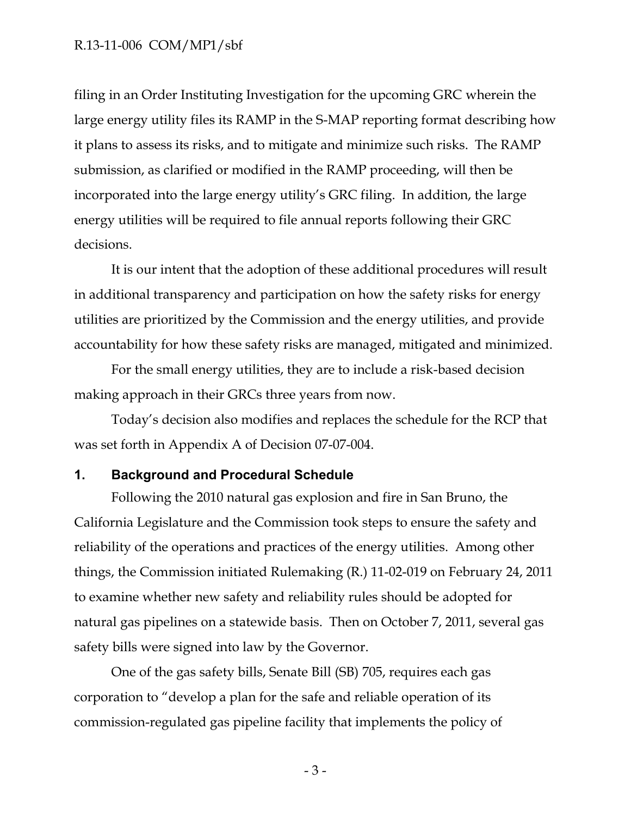filing in an Order Instituting Investigation for the upcoming GRC wherein the large energy utility files its RAMP in the S-MAP reporting format describing how it plans to assess its risks, and to mitigate and minimize such risks. The RAMP submission, as clarified or modified in the RAMP proceeding, will then be incorporated into the large energy utility's GRC filing. In addition, the large energy utilities will be required to file annual reports following their GRC decisions.

It is our intent that the adoption of these additional procedures will result in additional transparency and participation on how the safety risks for energy utilities are prioritized by the Commission and the energy utilities, and provide accountability for how these safety risks are managed, mitigated and minimized.

For the small energy utilities, they are to include a risk-based decision making approach in their GRCs three years from now.

Today's decision also modifies and replaces the schedule for the RCP that was set forth in Appendix A of Decision 07-07-004.

#### <span id="page-3-0"></span>**1. Background and Procedural Schedule**

Following the 2010 natural gas explosion and fire in San Bruno, the California Legislature and the Commission took steps to ensure the safety and reliability of the operations and practices of the energy utilities. Among other things, the Commission initiated Rulemaking (R.) 11-02-019 on February 24, 2011 to examine whether new safety and reliability rules should be adopted for natural gas pipelines on a statewide basis. Then on October 7, 2011, several gas safety bills were signed into law by the Governor.

One of the gas safety bills, Senate Bill (SB) 705, requires each gas corporation to "develop a plan for the safe and reliable operation of its commission-regulated gas pipeline facility that implements the policy of

- 3 -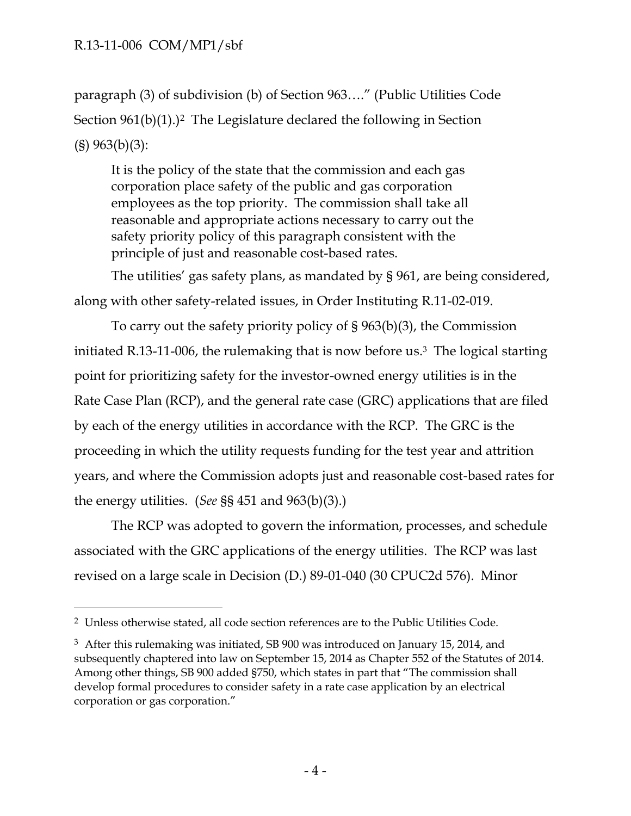$\overline{a}$ 

paragraph (3) of subdivision (b) of Section 963…." (Public Utilities Code Section  $961(b)(1)$ .)<sup>2</sup> The Legislature declared the following in Section (§) 963(b)(3):

It is the policy of the state that the commission and each gas corporation place safety of the public and gas corporation employees as the top priority. The commission shall take all reasonable and appropriate actions necessary to carry out the safety priority policy of this paragraph consistent with the principle of just and reasonable cost-based rates.

The utilities' gas safety plans, as mandated by § 961, are being considered, along with other safety-related issues, in Order Instituting R.11-02-019.

To carry out the safety priority policy of § 963(b)(3), the Commission initiated R.13-11-006, the rulemaking that is now before us.3 The logical starting point for prioritizing safety for the investor-owned energy utilities is in the Rate Case Plan (RCP), and the general rate case (GRC) applications that are filed by each of the energy utilities in accordance with the RCP. The GRC is the proceeding in which the utility requests funding for the test year and attrition years, and where the Commission adopts just and reasonable cost-based rates for the energy utilities. (*See* §§ 451 and 963(b)(3).)

The RCP was adopted to govern the information, processes, and schedule associated with the GRC applications of the energy utilities. The RCP was last revised on a large scale in Decision (D.) 89-01-040 (30 CPUC2d 576). Minor

<sup>2</sup> Unless otherwise stated, all code section references are to the Public Utilities Code.

<sup>3</sup> After this rulemaking was initiated, SB 900 was introduced on January 15, 2014, and subsequently chaptered into law on September 15, 2014 as Chapter 552 of the Statutes of 2014. Among other things, SB 900 added §750, which states in part that "The commission shall develop formal procedures to consider safety in a rate case application by an electrical corporation or gas corporation."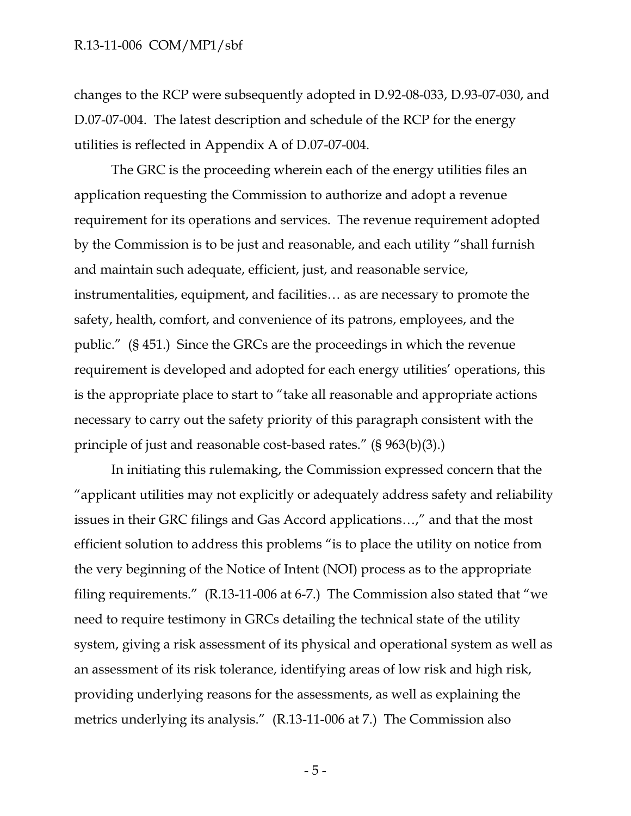changes to the RCP were subsequently adopted in D.92-08-033, D.93-07-030, and D.07-07-004. The latest description and schedule of the RCP for the energy utilities is reflected in Appendix A of D.07-07-004.

The GRC is the proceeding wherein each of the energy utilities files an application requesting the Commission to authorize and adopt a revenue requirement for its operations and services. The revenue requirement adopted by the Commission is to be just and reasonable, and each utility "shall furnish and maintain such adequate, efficient, just, and reasonable service, instrumentalities, equipment, and facilities… as are necessary to promote the safety, health, comfort, and convenience of its patrons, employees, and the public." (§ 451.) Since the GRCs are the proceedings in which the revenue requirement is developed and adopted for each energy utilities' operations, this is the appropriate place to start to "take all reasonable and appropriate actions necessary to carry out the safety priority of this paragraph consistent with the principle of just and reasonable cost-based rates." (§ 963(b)(3).)

In initiating this rulemaking, the Commission expressed concern that the "applicant utilities may not explicitly or adequately address safety and reliability issues in their GRC filings and Gas Accord applications…," and that the most efficient solution to address this problems "is to place the utility on notice from the very beginning of the Notice of Intent (NOI) process as to the appropriate filing requirements." (R.13-11-006 at 6-7.) The Commission also stated that "we need to require testimony in GRCs detailing the technical state of the utility system, giving a risk assessment of its physical and operational system as well as an assessment of its risk tolerance, identifying areas of low risk and high risk, providing underlying reasons for the assessments, as well as explaining the metrics underlying its analysis." (R.13-11-006 at 7.) The Commission also

- 5 -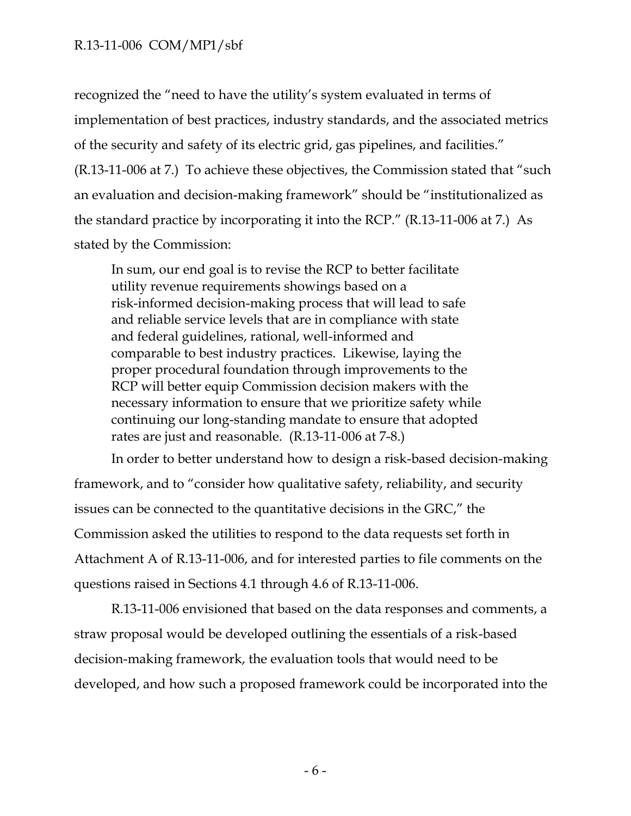recognized the "need to have the utility's system evaluated in terms of implementation of best practices, industry standards, and the associated metrics of the security and safety of its electric grid, gas pipelines, and facilities." (R.13-11-006 at 7.) To achieve these objectives, the Commission stated that "such an evaluation and decision-making framework" should be "institutionalized as the standard practice by incorporating it into the RCP." (R.13-11-006 at 7.) As stated by the Commission:

In sum, our end goal is to revise the RCP to better facilitate utility revenue requirements showings based on a risk-informed decision-making process that will lead to safe and reliable service levels that are in compliance with state and federal guidelines, rational, well-informed and comparable to best industry practices. Likewise, laying the proper procedural foundation through improvements to the RCP will better equip Commission decision makers with the necessary information to ensure that we prioritize safety while continuing our long-standing mandate to ensure that adopted rates are just and reasonable. (R.13-11-006 at 7-8.)

In order to better understand how to design a risk-based decision-making framework, and to "consider how qualitative safety, reliability, and security issues can be connected to the quantitative decisions in the GRC," the Commission asked the utilities to respond to the data requests set forth in Attachment A of R.13-11-006, and for interested parties to file comments on the questions raised in Sections 4.1 through 4.6 of R.13-11-006.

R.13-11-006 envisioned that based on the data responses and comments, a straw proposal would be developed outlining the essentials of a risk-based decision-making framework, the evaluation tools that would need to be developed, and how such a proposed framework could be incorporated into the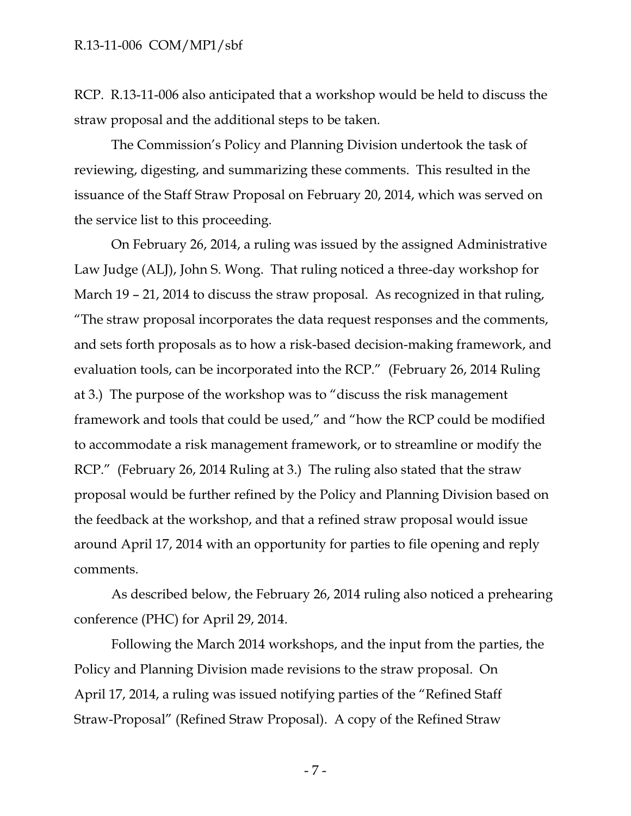RCP. R.13-11-006 also anticipated that a workshop would be held to discuss the straw proposal and the additional steps to be taken.

The Commission's Policy and Planning Division undertook the task of reviewing, digesting, and summarizing these comments. This resulted in the issuance of the Staff Straw Proposal on February 20, 2014, which was served on the service list to this proceeding.

On February 26, 2014, a ruling was issued by the assigned Administrative Law Judge (ALJ), John S. Wong. That ruling noticed a three-day workshop for March 19 – 21, 2014 to discuss the straw proposal. As recognized in that ruling, "The straw proposal incorporates the data request responses and the comments, and sets forth proposals as to how a risk-based decision-making framework, and evaluation tools, can be incorporated into the RCP." (February 26, 2014 Ruling at 3.) The purpose of the workshop was to "discuss the risk management framework and tools that could be used," and "how the RCP could be modified to accommodate a risk management framework, or to streamline or modify the RCP." (February 26, 2014 Ruling at 3.) The ruling also stated that the straw proposal would be further refined by the Policy and Planning Division based on the feedback at the workshop, and that a refined straw proposal would issue around April 17, 2014 with an opportunity for parties to file opening and reply comments.

As described below, the February 26, 2014 ruling also noticed a prehearing conference (PHC) for April 29, 2014.

Following the March 2014 workshops, and the input from the parties, the Policy and Planning Division made revisions to the straw proposal. On April 17, 2014, a ruling was issued notifying parties of the "Refined Staff Straw-Proposal" (Refined Straw Proposal). A copy of the Refined Straw

- 7 -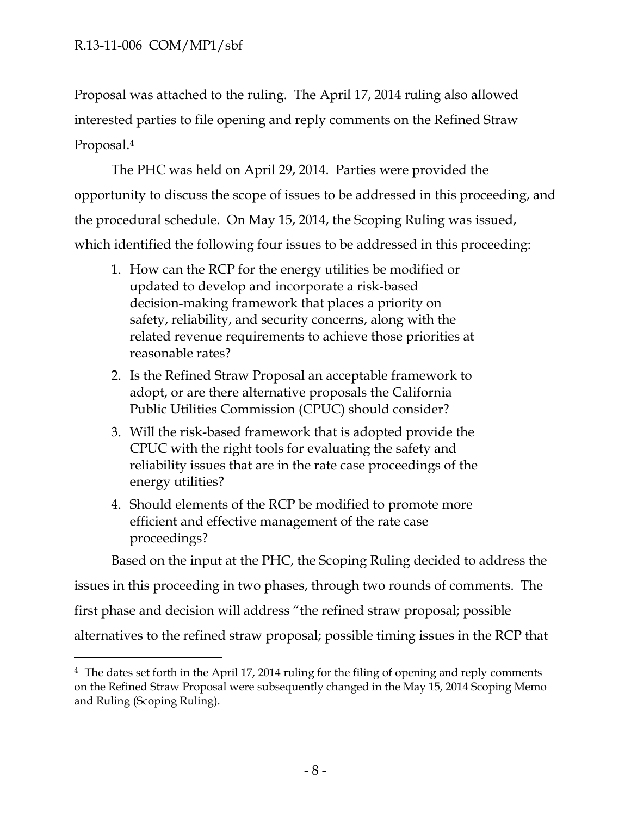$\overline{a}$ 

Proposal was attached to the ruling. The April 17, 2014 ruling also allowed interested parties to file opening and reply comments on the Refined Straw Proposal.<sup>4</sup>

The PHC was held on April 29, 2014. Parties were provided the opportunity to discuss the scope of issues to be addressed in this proceeding, and the procedural schedule. On May 15, 2014, the Scoping Ruling was issued, which identified the following four issues to be addressed in this proceeding:

- 1. How can the RCP for the energy utilities be modified or updated to develop and incorporate a risk-based decision-making framework that places a priority on safety, reliability, and security concerns, along with the related revenue requirements to achieve those priorities at reasonable rates?
- 2. Is the Refined Straw Proposal an acceptable framework to adopt, or are there alternative proposals the California Public Utilities Commission (CPUC) should consider?
- 3. Will the risk-based framework that is adopted provide the CPUC with the right tools for evaluating the safety and reliability issues that are in the rate case proceedings of the energy utilities?
- 4. Should elements of the RCP be modified to promote more efficient and effective management of the rate case proceedings?

Based on the input at the PHC, the Scoping Ruling decided to address the

issues in this proceeding in two phases, through two rounds of comments. The

first phase and decision will address "the refined straw proposal; possible

alternatives to the refined straw proposal; possible timing issues in the RCP that

<sup>4</sup> The dates set forth in the April 17, 2014 ruling for the filing of opening and reply comments on the Refined Straw Proposal were subsequently changed in the May 15, 2014 Scoping Memo and Ruling (Scoping Ruling).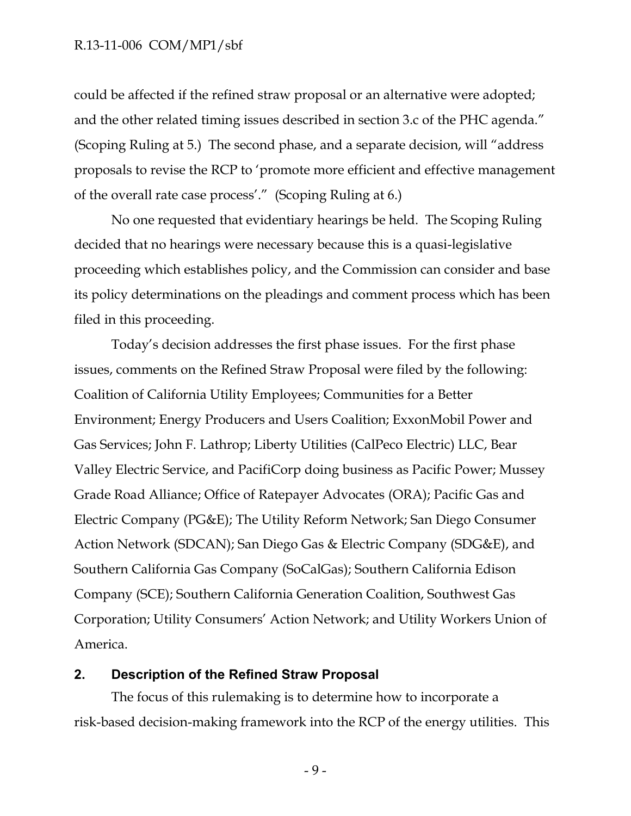could be affected if the refined straw proposal or an alternative were adopted; and the other related timing issues described in section 3.c of the PHC agenda." (Scoping Ruling at 5.) The second phase, and a separate decision, will "address proposals to revise the RCP to 'promote more efficient and effective management of the overall rate case process'." (Scoping Ruling at 6.)

No one requested that evidentiary hearings be held. The Scoping Ruling decided that no hearings were necessary because this is a quasi-legislative proceeding which establishes policy, and the Commission can consider and base its policy determinations on the pleadings and comment process which has been filed in this proceeding.

Today's decision addresses the first phase issues. For the first phase issues, comments on the Refined Straw Proposal were filed by the following: Coalition of California Utility Employees; Communities for a Better Environment; Energy Producers and Users Coalition; ExxonMobil Power and Gas Services; John F. Lathrop; Liberty Utilities (CalPeco Electric) LLC, Bear Valley Electric Service, and PacifiCorp doing business as Pacific Power; Mussey Grade Road Alliance; Office of Ratepayer Advocates (ORA); Pacific Gas and Electric Company (PG&E); The Utility Reform Network; San Diego Consumer Action Network (SDCAN); San Diego Gas & Electric Company (SDG&E), and Southern California Gas Company (SoCalGas); Southern California Edison Company (SCE); Southern California Generation Coalition, Southwest Gas Corporation; Utility Consumers' Action Network; and Utility Workers Union of America.

### <span id="page-9-0"></span>**2. Description of the Refined Straw Proposal**

The focus of this rulemaking is to determine how to incorporate a risk-based decision-making framework into the RCP of the energy utilities. This

- 9 -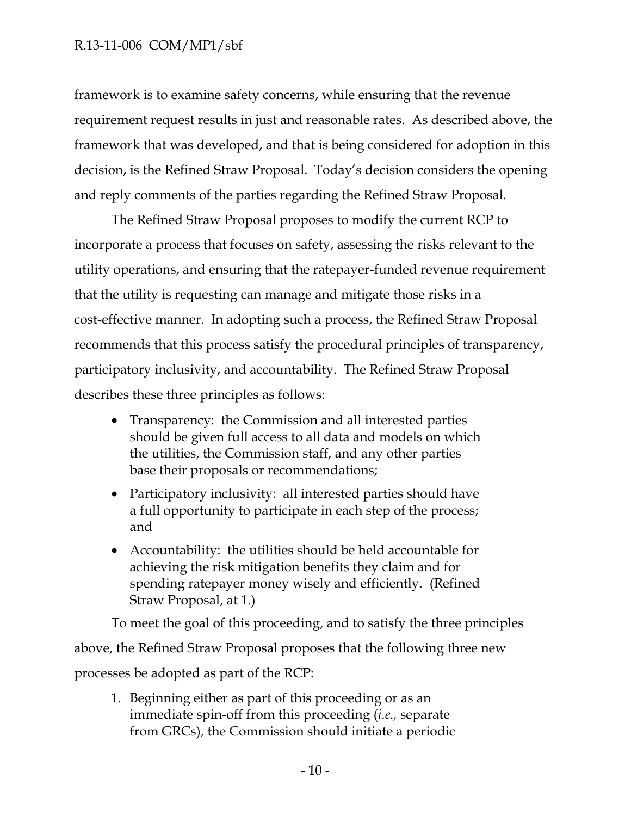framework is to examine safety concerns, while ensuring that the revenue requirement request results in just and reasonable rates. As described above, the framework that was developed, and that is being considered for adoption in this decision, is the Refined Straw Proposal. Today's decision considers the opening and reply comments of the parties regarding the Refined Straw Proposal.

The Refined Straw Proposal proposes to modify the current RCP to incorporate a process that focuses on safety, assessing the risks relevant to the utility operations, and ensuring that the ratepayer-funded revenue requirement that the utility is requesting can manage and mitigate those risks in a cost-effective manner. In adopting such a process, the Refined Straw Proposal recommends that this process satisfy the procedural principles of transparency, participatory inclusivity, and accountability. The Refined Straw Proposal describes these three principles as follows:

- Transparency: the Commission and all interested parties should be given full access to all data and models on which the utilities, the Commission staff, and any other parties base their proposals or recommendations;
- Participatory inclusivity: all interested parties should have a full opportunity to participate in each step of the process; and
- Accountability: the utilities should be held accountable for achieving the risk mitigation benefits they claim and for spending ratepayer money wisely and efficiently. (Refined Straw Proposal, at 1.)

To meet the goal of this proceeding, and to satisfy the three principles above, the Refined Straw Proposal proposes that the following three new processes be adopted as part of the RCP:

1. Beginning either as part of this proceeding or as an immediate spin-off from this proceeding (*i.e.,* separate from GRCs), the Commission should initiate a periodic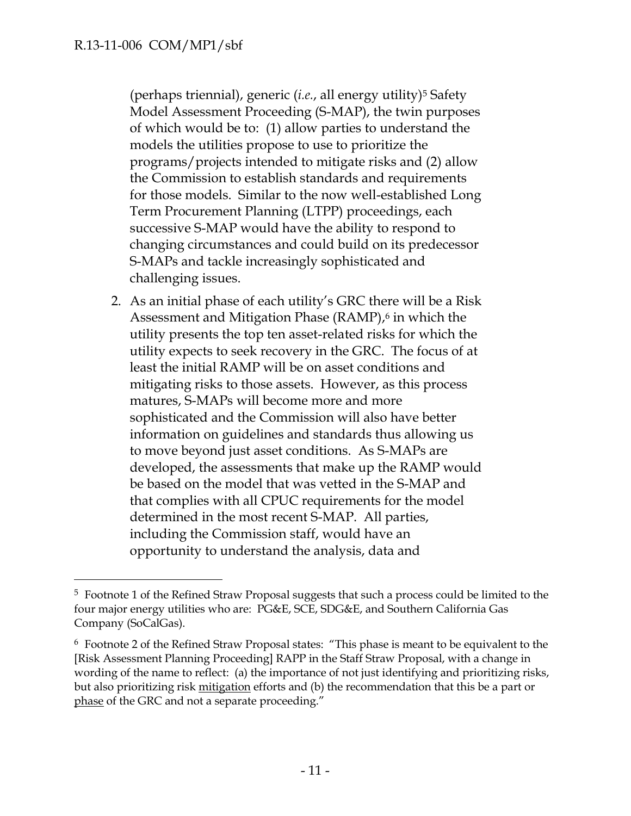$\overline{a}$ 

(perhaps triennial), generic (*i.e.*, all energy utility)<sup>5</sup> Safety Model Assessment Proceeding (S-MAP), the twin purposes of which would be to: (1) allow parties to understand the models the utilities propose to use to prioritize the programs/projects intended to mitigate risks and (2) allow the Commission to establish standards and requirements for those models. Similar to the now well-established Long Term Procurement Planning (LTPP) proceedings, each successive S-MAP would have the ability to respond to changing circumstances and could build on its predecessor S-MAPs and tackle increasingly sophisticated and challenging issues.

2. As an initial phase of each utility's GRC there will be a Risk Assessment and Mitigation Phase (RAMP), <sup>6</sup> in which the utility presents the top ten asset-related risks for which the utility expects to seek recovery in the GRC. The focus of at least the initial RAMP will be on asset conditions and mitigating risks to those assets. However, as this process matures, S-MAPs will become more and more sophisticated and the Commission will also have better information on guidelines and standards thus allowing us to move beyond just asset conditions. As S-MAPs are developed, the assessments that make up the RAMP would be based on the model that was vetted in the S-MAP and that complies with all CPUC requirements for the model determined in the most recent S-MAP. All parties, including the Commission staff, would have an opportunity to understand the analysis, data and

<sup>5</sup> Footnote 1 of the Refined Straw Proposal suggests that such a process could be limited to the four major energy utilities who are: PG&E, SCE, SDG&E, and Southern California Gas Company (SoCalGas).

<sup>6</sup> Footnote 2 of the Refined Straw Proposal states: "This phase is meant to be equivalent to the [Risk Assessment Planning Proceeding] RAPP in the Staff Straw Proposal, with a change in wording of the name to reflect: (a) the importance of not just identifying and prioritizing risks, but also prioritizing risk mitigation efforts and (b) the recommendation that this be a part or phase of the GRC and not a separate proceeding."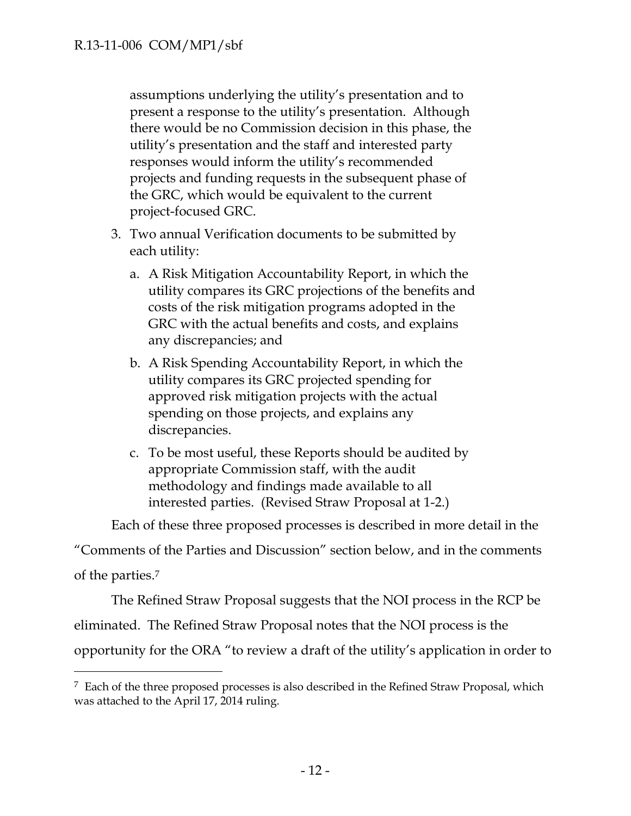$\overline{a}$ 

assumptions underlying the utility's presentation and to present a response to the utility's presentation. Although there would be no Commission decision in this phase, the utility's presentation and the staff and interested party responses would inform the utility's recommended projects and funding requests in the subsequent phase of the GRC, which would be equivalent to the current project-focused GRC.

- 3. Two annual Verification documents to be submitted by each utility:
	- a. A Risk Mitigation Accountability Report, in which the utility compares its GRC projections of the benefits and costs of the risk mitigation programs adopted in the GRC with the actual benefits and costs, and explains any discrepancies; and
	- b. A Risk Spending Accountability Report, in which the utility compares its GRC projected spending for approved risk mitigation projects with the actual spending on those projects, and explains any discrepancies.
	- c. To be most useful, these Reports should be audited by appropriate Commission staff, with the audit methodology and findings made available to all interested parties. (Revised Straw Proposal at 1-2.)

Each of these three proposed processes is described in more detail in the

"Comments of the Parties and Discussion" section below, and in the comments of the parties.<sup>7</sup>

The Refined Straw Proposal suggests that the NOI process in the RCP be eliminated. The Refined Straw Proposal notes that the NOI process is the opportunity for the ORA "to review a draft of the utility's application in order to

<sup>7</sup> Each of the three proposed processes is also described in the Refined Straw Proposal, which was attached to the April 17, 2014 ruling.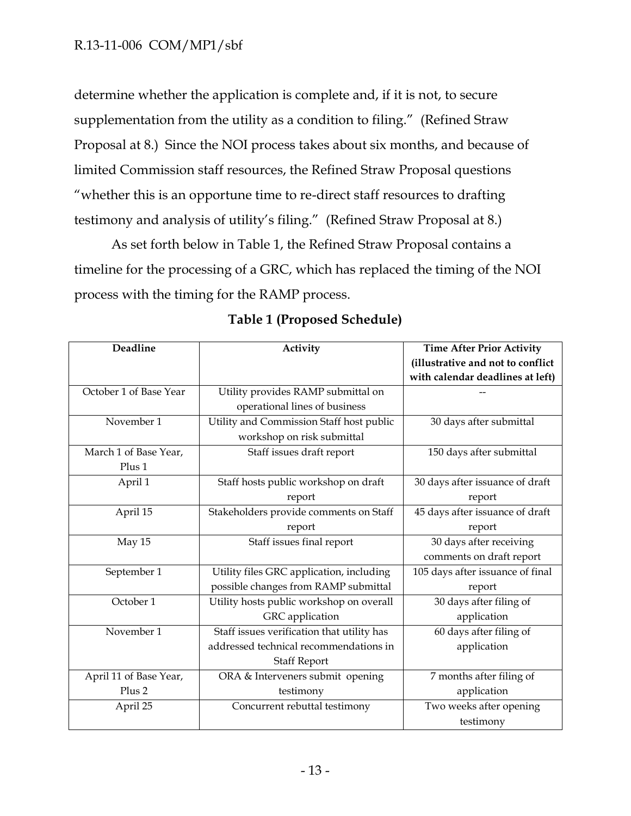determine whether the application is complete and, if it is not, to secure supplementation from the utility as a condition to filing." (Refined Straw Proposal at 8.) Since the NOI process takes about six months, and because of limited Commission staff resources, the Refined Straw Proposal questions "whether this is an opportune time to re-direct staff resources to drafting testimony and analysis of utility's filing." (Refined Straw Proposal at 8.)

As set forth below in Table 1, the Refined Straw Proposal contains a timeline for the processing of a GRC, which has replaced the timing of the NOI process with the timing for the RAMP process.

| Deadline               | Activity                                   | <b>Time After Prior Activity</b>  |
|------------------------|--------------------------------------------|-----------------------------------|
|                        |                                            | (illustrative and not to conflict |
|                        |                                            | with calendar deadlines at left)  |
| October 1 of Base Year | Utility provides RAMP submittal on         |                                   |
|                        | operational lines of business              |                                   |
| November 1             | Utility and Commission Staff host public   | 30 days after submittal           |
|                        | workshop on risk submittal                 |                                   |
| March 1 of Base Year,  | Staff issues draft report                  | 150 days after submittal          |
| Plus 1                 |                                            |                                   |
| April 1                | Staff hosts public workshop on draft       | 30 days after issuance of draft   |
|                        | report                                     | report                            |
| April 15               | Stakeholders provide comments on Staff     | 45 days after issuance of draft   |
|                        | report                                     | report                            |
| May 15                 | Staff issues final report                  | 30 days after receiving           |
|                        |                                            | comments on draft report          |
| September 1            | Utility files GRC application, including   | 105 days after issuance of final  |
|                        | possible changes from RAMP submittal       | report                            |
| October 1              | Utility hosts public workshop on overall   | 30 days after filing of           |
|                        | GRC application                            | application                       |
| November 1             | Staff issues verification that utility has | 60 days after filing of           |
|                        | addressed technical recommendations in     | application                       |
|                        | <b>Staff Report</b>                        |                                   |
| April 11 of Base Year, | ORA & Interveners submit opening           | 7 months after filing of          |
| Plus <sub>2</sub>      | testimony                                  | application                       |
| April 25               | Concurrent rebuttal testimony              | Two weeks after opening           |
|                        |                                            | testimony                         |

| <b>Table 1 (Proposed Schedule)</b> |  |
|------------------------------------|--|
|------------------------------------|--|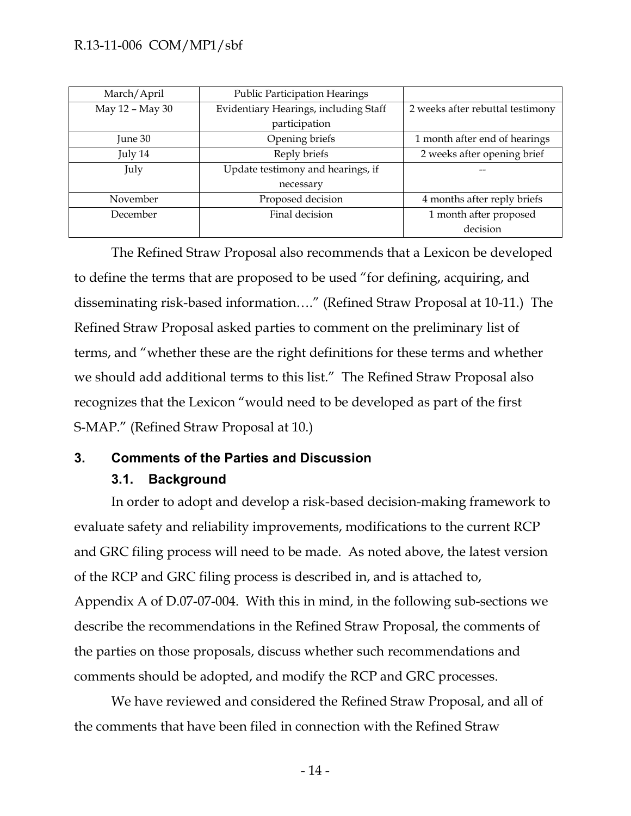| March/April     | <b>Public Participation Hearings</b>  |                                  |
|-----------------|---------------------------------------|----------------------------------|
| May 12 - May 30 | Evidentiary Hearings, including Staff | 2 weeks after rebuttal testimony |
|                 | participation                         |                                  |
| June 30         | Opening briefs                        | 1 month after end of hearings    |
| July 14         | Reply briefs                          | 2 weeks after opening brief      |
| July            | Update testimony and hearings, if     |                                  |
|                 | necessary                             |                                  |
| November        | Proposed decision                     | 4 months after reply briefs      |
| December        | Final decision                        | 1 month after proposed           |
|                 |                                       | decision                         |

The Refined Straw Proposal also recommends that a Lexicon be developed to define the terms that are proposed to be used "for defining, acquiring, and disseminating risk-based information…." (Refined Straw Proposal at 10-11.) The Refined Straw Proposal asked parties to comment on the preliminary list of terms, and "whether these are the right definitions for these terms and whether we should add additional terms to this list." The Refined Straw Proposal also recognizes that the Lexicon "would need to be developed as part of the first S-MAP." (Refined Straw Proposal at 10.)

# <span id="page-14-1"></span><span id="page-14-0"></span>**3. Comments of the Parties and Discussion**

# **3.1. Background**

In order to adopt and develop a risk-based decision-making framework to evaluate safety and reliability improvements, modifications to the current RCP and GRC filing process will need to be made. As noted above, the latest version of the RCP and GRC filing process is described in, and is attached to, Appendix A of D.07-07-004. With this in mind, in the following sub-sections we describe the recommendations in the Refined Straw Proposal, the comments of the parties on those proposals, discuss whether such recommendations and comments should be adopted, and modify the RCP and GRC processes.

We have reviewed and considered the Refined Straw Proposal, and all of the comments that have been filed in connection with the Refined Straw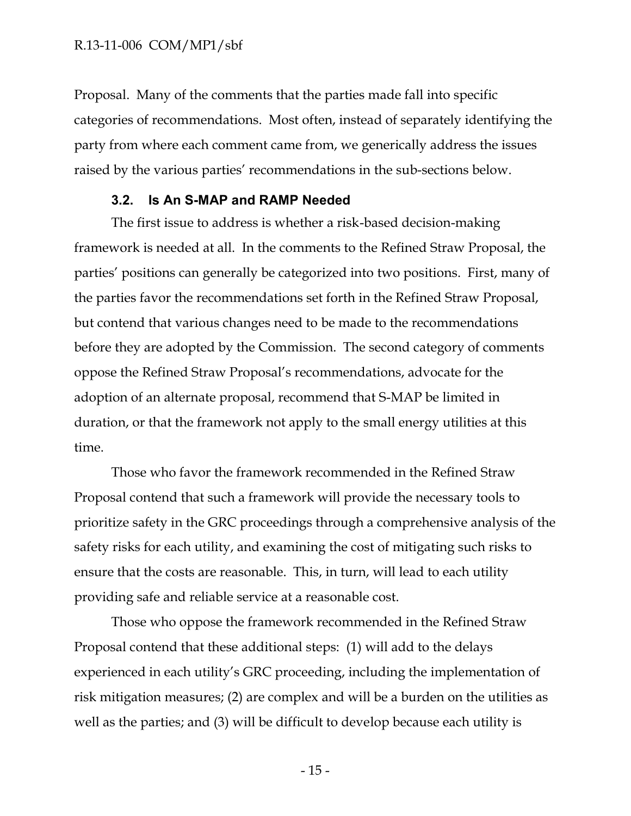Proposal. Many of the comments that the parties made fall into specific categories of recommendations. Most often, instead of separately identifying the party from where each comment came from, we generically address the issues raised by the various parties' recommendations in the sub-sections below.

### **3.2. Is An S-MAP and RAMP Needed**

<span id="page-15-0"></span>The first issue to address is whether a risk-based decision-making framework is needed at all. In the comments to the Refined Straw Proposal, the parties' positions can generally be categorized into two positions. First, many of the parties favor the recommendations set forth in the Refined Straw Proposal, but contend that various changes need to be made to the recommendations before they are adopted by the Commission. The second category of comments oppose the Refined Straw Proposal's recommendations, advocate for the adoption of an alternate proposal, recommend that S-MAP be limited in duration, or that the framework not apply to the small energy utilities at this time.

Those who favor the framework recommended in the Refined Straw Proposal contend that such a framework will provide the necessary tools to prioritize safety in the GRC proceedings through a comprehensive analysis of the safety risks for each utility, and examining the cost of mitigating such risks to ensure that the costs are reasonable. This, in turn, will lead to each utility providing safe and reliable service at a reasonable cost.

Those who oppose the framework recommended in the Refined Straw Proposal contend that these additional steps: (1) will add to the delays experienced in each utility's GRC proceeding, including the implementation of risk mitigation measures; (2) are complex and will be a burden on the utilities as well as the parties; and (3) will be difficult to develop because each utility is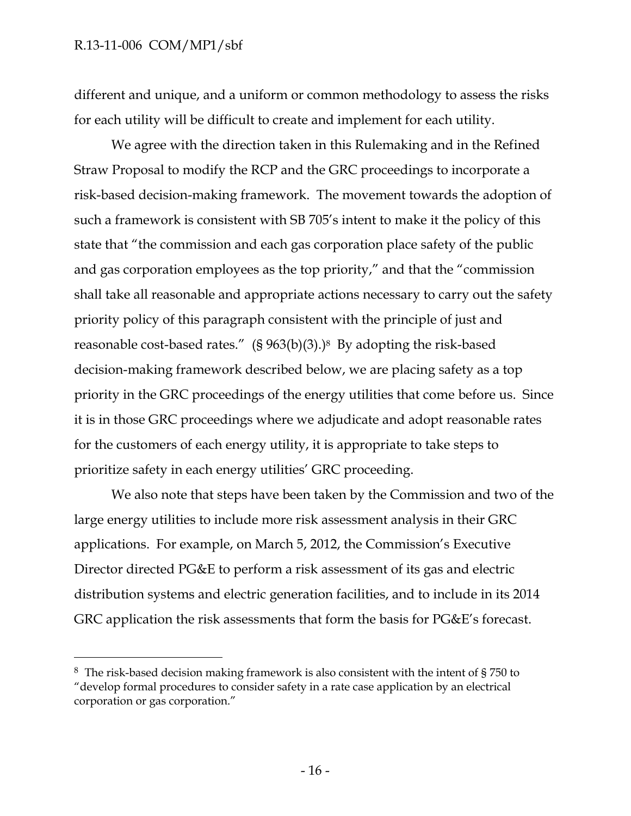$\overline{a}$ 

different and unique, and a uniform or common methodology to assess the risks for each utility will be difficult to create and implement for each utility.

We agree with the direction taken in this Rulemaking and in the Refined Straw Proposal to modify the RCP and the GRC proceedings to incorporate a risk-based decision-making framework. The movement towards the adoption of such a framework is consistent with SB 705's intent to make it the policy of this state that "the commission and each gas corporation place safety of the public and gas corporation employees as the top priority," and that the "commission shall take all reasonable and appropriate actions necessary to carry out the safety priority policy of this paragraph consistent with the principle of just and reasonable cost-based rates." (§ 963(b)(3).)8 By adopting the risk-based decision-making framework described below, we are placing safety as a top priority in the GRC proceedings of the energy utilities that come before us. Since it is in those GRC proceedings where we adjudicate and adopt reasonable rates for the customers of each energy utility, it is appropriate to take steps to prioritize safety in each energy utilities' GRC proceeding.

We also note that steps have been taken by the Commission and two of the large energy utilities to include more risk assessment analysis in their GRC applications. For example, on March 5, 2012, the Commission's Executive Director directed PG&E to perform a risk assessment of its gas and electric distribution systems and electric generation facilities, and to include in its 2014 GRC application the risk assessments that form the basis for PG&E's forecast.

<sup>8</sup> The risk-based decision making framework is also consistent with the intent of § 750 to "develop formal procedures to consider safety in a rate case application by an electrical corporation or gas corporation."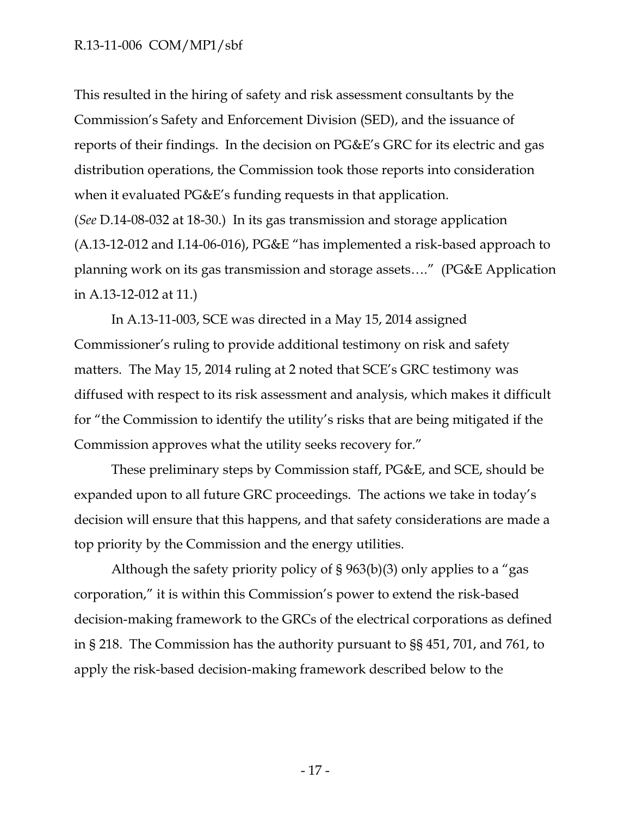This resulted in the hiring of safety and risk assessment consultants by the Commission's Safety and Enforcement Division (SED), and the issuance of reports of their findings. In the decision on PG&E's GRC for its electric and gas distribution operations, the Commission took those reports into consideration when it evaluated PG&E's funding requests in that application. (*See* D.14-08-032 at 18-30.) In its gas transmission and storage application (A.13-12-012 and I.14-06-016), PG&E "has implemented a risk-based approach to planning work on its gas transmission and storage assets…." (PG&E Application

in A.13-12-012 at 11.)

In A.13-11-003, SCE was directed in a May 15, 2014 assigned Commissioner's ruling to provide additional testimony on risk and safety matters. The May 15, 2014 ruling at 2 noted that SCE's GRC testimony was diffused with respect to its risk assessment and analysis, which makes it difficult for "the Commission to identify the utility's risks that are being mitigated if the Commission approves what the utility seeks recovery for."

These preliminary steps by Commission staff, PG&E, and SCE, should be expanded upon to all future GRC proceedings. The actions we take in today's decision will ensure that this happens, and that safety considerations are made a top priority by the Commission and the energy utilities.

Although the safety priority policy of § 963(b)(3) only applies to a "gas corporation," it is within this Commission's power to extend the risk-based decision-making framework to the GRCs of the electrical corporations as defined in § 218. The Commission has the authority pursuant to §§ 451, 701, and 761, to apply the risk-based decision-making framework described below to the

- 17 -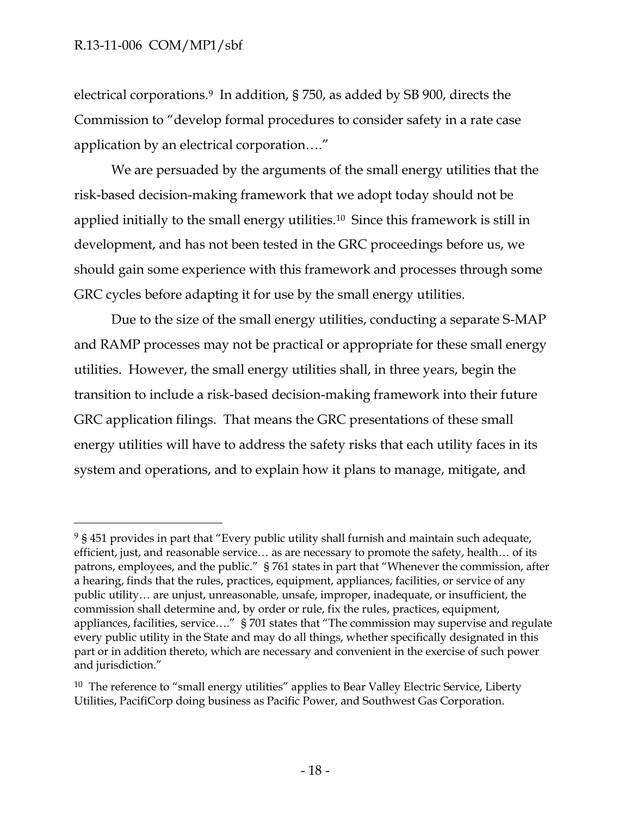$\overline{a}$ 

electrical corporations.9 In addition, § 750, as added by SB 900, directs the Commission to "develop formal procedures to consider safety in a rate case application by an electrical corporation…."

We are persuaded by the arguments of the small energy utilities that the risk-based decision-making framework that we adopt today should not be applied initially to the small energy utilities.10 Since this framework is still in development, and has not been tested in the GRC proceedings before us, we should gain some experience with this framework and processes through some GRC cycles before adapting it for use by the small energy utilities.

Due to the size of the small energy utilities, conducting a separate S-MAP and RAMP processes may not be practical or appropriate for these small energy utilities. However, the small energy utilities shall, in three years, begin the transition to include a risk-based decision-making framework into their future GRC application filings. That means the GRC presentations of these small energy utilities will have to address the safety risks that each utility faces in its system and operations, and to explain how it plans to manage, mitigate, and

<sup>&</sup>lt;sup>9</sup> § 451 provides in part that "Every public utility shall furnish and maintain such adequate, efficient, just, and reasonable service… as are necessary to promote the safety, health… of its patrons, employees, and the public." § 761 states in part that "Whenever the commission, after a hearing, finds that the rules, practices, equipment, appliances, facilities, or service of any public utility… are unjust, unreasonable, unsafe, improper, inadequate, or insufficient, the commission shall determine and, by order or rule, fix the rules, practices, equipment, appliances, facilities, service…." § 701 states that "The commission may supervise and regulate every public utility in the State and may do all things, whether specifically designated in this part or in addition thereto, which are necessary and convenient in the exercise of such power and jurisdiction."

 $10$  The reference to "small energy utilities" applies to Bear Valley Electric Service, Liberty Utilities, PacifiCorp doing business as Pacific Power, and Southwest Gas Corporation.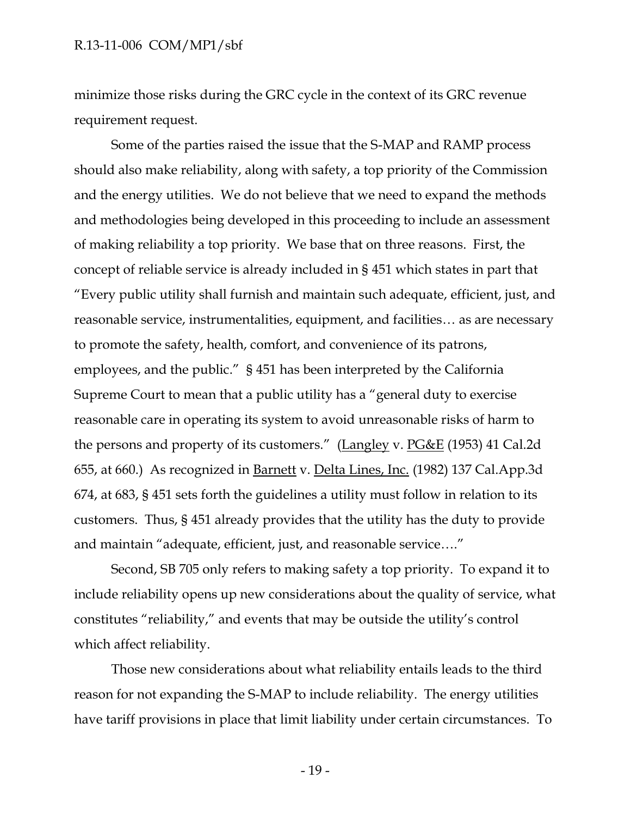minimize those risks during the GRC cycle in the context of its GRC revenue requirement request.

Some of the parties raised the issue that the S-MAP and RAMP process should also make reliability, along with safety, a top priority of the Commission and the energy utilities. We do not believe that we need to expand the methods and methodologies being developed in this proceeding to include an assessment of making reliability a top priority. We base that on three reasons. First, the concept of reliable service is already included in § 451 which states in part that "Every public utility shall furnish and maintain such adequate, efficient, just, and reasonable service, instrumentalities, equipment, and facilities… as are necessary to promote the safety, health, comfort, and convenience of its patrons, employees, and the public." § 451 has been interpreted by the California Supreme Court to mean that a public utility has a "general duty to exercise reasonable care in operating its system to avoid unreasonable risks of harm to the persons and property of its customers." (Langley v. PG&E (1953) 41 Cal.2d 655, at 660.) As recognized in Barnett v. Delta Lines, Inc. (1982) 137 Cal.App.3d 674, at 683, § 451 sets forth the guidelines a utility must follow in relation to its customers. Thus, § 451 already provides that the utility has the duty to provide and maintain "adequate, efficient, just, and reasonable service…."

Second, SB 705 only refers to making safety a top priority. To expand it to include reliability opens up new considerations about the quality of service, what constitutes "reliability," and events that may be outside the utility's control which affect reliability.

Those new considerations about what reliability entails leads to the third reason for not expanding the S-MAP to include reliability. The energy utilities have tariff provisions in place that limit liability under certain circumstances. To

- 19 -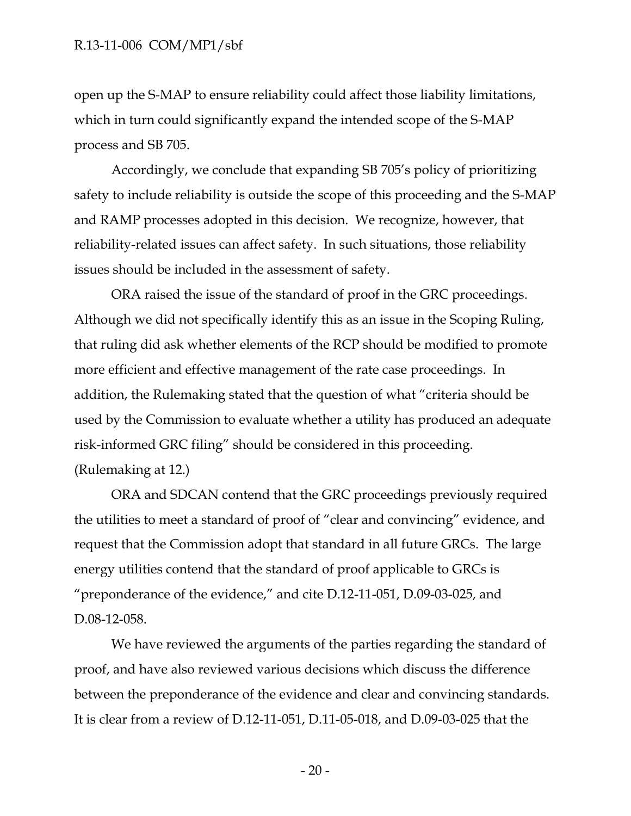open up the S-MAP to ensure reliability could affect those liability limitations, which in turn could significantly expand the intended scope of the S-MAP process and SB 705.

Accordingly, we conclude that expanding SB 705's policy of prioritizing safety to include reliability is outside the scope of this proceeding and the S-MAP and RAMP processes adopted in this decision. We recognize, however, that reliability-related issues can affect safety. In such situations, those reliability issues should be included in the assessment of safety.

ORA raised the issue of the standard of proof in the GRC proceedings. Although we did not specifically identify this as an issue in the Scoping Ruling, that ruling did ask whether elements of the RCP should be modified to promote more efficient and effective management of the rate case proceedings. In addition, the Rulemaking stated that the question of what "criteria should be used by the Commission to evaluate whether a utility has produced an adequate risk-informed GRC filing" should be considered in this proceeding. (Rulemaking at 12.)

ORA and SDCAN contend that the GRC proceedings previously required the utilities to meet a standard of proof of "clear and convincing" evidence, and request that the Commission adopt that standard in all future GRCs. The large energy utilities contend that the standard of proof applicable to GRCs is "preponderance of the evidence," and cite D.12-11-051, D.09-03-025, and D.08-12-058.

We have reviewed the arguments of the parties regarding the standard of proof, and have also reviewed various decisions which discuss the difference between the preponderance of the evidence and clear and convincing standards. It is clear from a review of D.12-11-051, D.11-05-018, and D.09-03-025 that the

- 20 -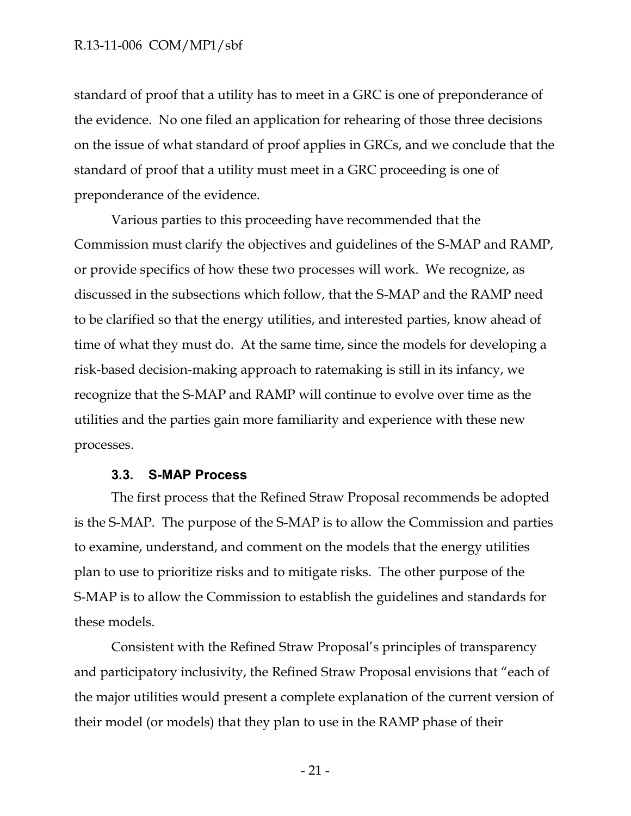standard of proof that a utility has to meet in a GRC is one of preponderance of the evidence. No one filed an application for rehearing of those three decisions on the issue of what standard of proof applies in GRCs, and we conclude that the standard of proof that a utility must meet in a GRC proceeding is one of preponderance of the evidence.

Various parties to this proceeding have recommended that the Commission must clarify the objectives and guidelines of the S-MAP and RAMP, or provide specifics of how these two processes will work. We recognize, as discussed in the subsections which follow, that the S-MAP and the RAMP need to be clarified so that the energy utilities, and interested parties, know ahead of time of what they must do. At the same time, since the models for developing a risk-based decision-making approach to ratemaking is still in its infancy, we recognize that the S-MAP and RAMP will continue to evolve over time as the utilities and the parties gain more familiarity and experience with these new processes.

#### **3.3. S-MAP Process**

<span id="page-21-0"></span>The first process that the Refined Straw Proposal recommends be adopted is the S-MAP. The purpose of the S-MAP is to allow the Commission and parties to examine, understand, and comment on the models that the energy utilities plan to use to prioritize risks and to mitigate risks. The other purpose of the S-MAP is to allow the Commission to establish the guidelines and standards for these models.

Consistent with the Refined Straw Proposal's principles of transparency and participatory inclusivity, the Refined Straw Proposal envisions that "each of the major utilities would present a complete explanation of the current version of their model (or models) that they plan to use in the RAMP phase of their

- 21 -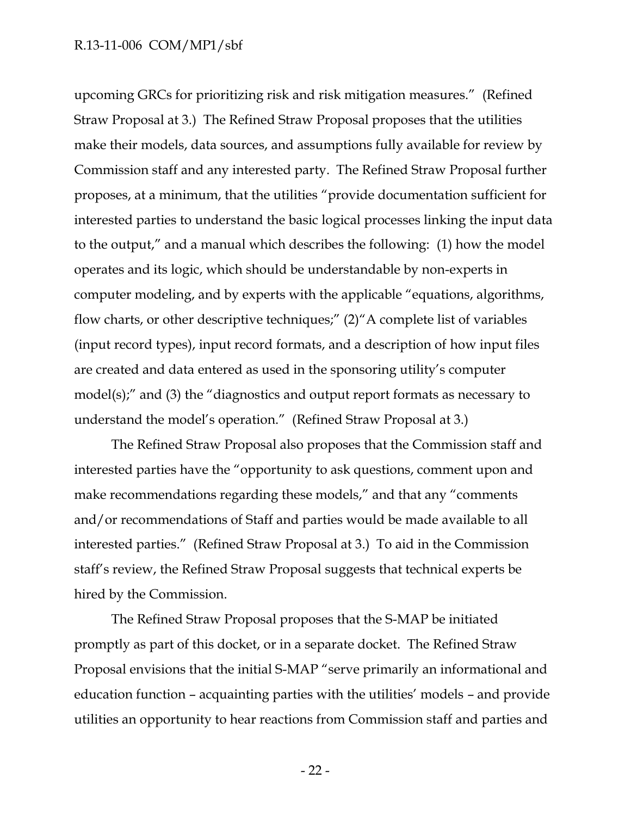upcoming GRCs for prioritizing risk and risk mitigation measures." (Refined Straw Proposal at 3.) The Refined Straw Proposal proposes that the utilities make their models, data sources, and assumptions fully available for review by Commission staff and any interested party. The Refined Straw Proposal further proposes, at a minimum, that the utilities "provide documentation sufficient for interested parties to understand the basic logical processes linking the input data to the output," and a manual which describes the following: (1) how the model operates and its logic, which should be understandable by non-experts in computer modeling, and by experts with the applicable "equations, algorithms, flow charts, or other descriptive techniques;" (2)"A complete list of variables (input record types), input record formats, and a description of how input files are created and data entered as used in the sponsoring utility's computer model(s);" and (3) the "diagnostics and output report formats as necessary to understand the model's operation." (Refined Straw Proposal at 3.)

The Refined Straw Proposal also proposes that the Commission staff and interested parties have the "opportunity to ask questions, comment upon and make recommendations regarding these models," and that any "comments and/or recommendations of Staff and parties would be made available to all interested parties." (Refined Straw Proposal at 3.) To aid in the Commission staff's review, the Refined Straw Proposal suggests that technical experts be hired by the Commission.

The Refined Straw Proposal proposes that the S-MAP be initiated promptly as part of this docket, or in a separate docket. The Refined Straw Proposal envisions that the initial S-MAP "serve primarily an informational and education function – acquainting parties with the utilities' models – and provide utilities an opportunity to hear reactions from Commission staff and parties and

- 22 -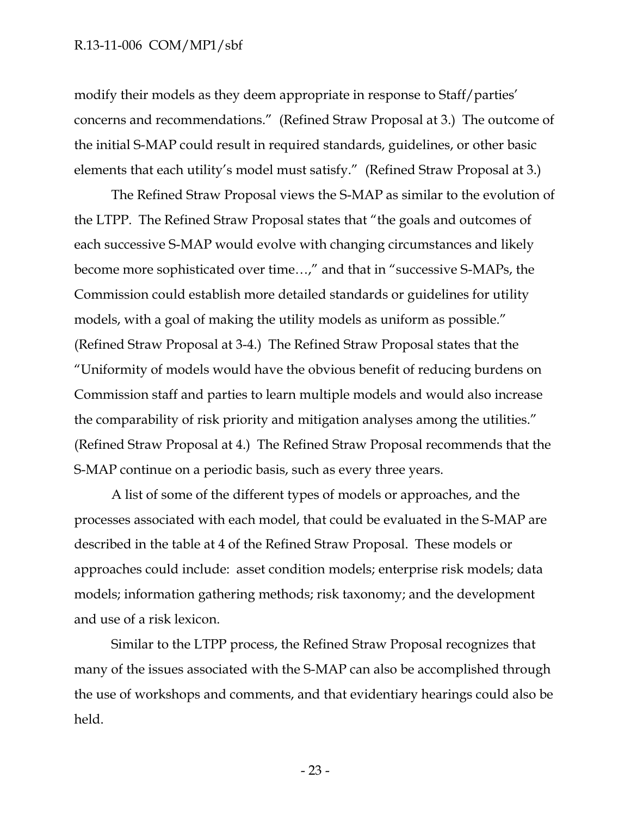modify their models as they deem appropriate in response to Staff/parties' concerns and recommendations." (Refined Straw Proposal at 3.) The outcome of the initial S-MAP could result in required standards, guidelines, or other basic elements that each utility's model must satisfy." (Refined Straw Proposal at 3.)

The Refined Straw Proposal views the S-MAP as similar to the evolution of the LTPP. The Refined Straw Proposal states that "the goals and outcomes of each successive S-MAP would evolve with changing circumstances and likely become more sophisticated over time…," and that in "successive S-MAPs, the Commission could establish more detailed standards or guidelines for utility models, with a goal of making the utility models as uniform as possible." (Refined Straw Proposal at 3-4.) The Refined Straw Proposal states that the "Uniformity of models would have the obvious benefit of reducing burdens on Commission staff and parties to learn multiple models and would also increase the comparability of risk priority and mitigation analyses among the utilities." (Refined Straw Proposal at 4.) The Refined Straw Proposal recommends that the S-MAP continue on a periodic basis, such as every three years.

A list of some of the different types of models or approaches, and the processes associated with each model, that could be evaluated in the S-MAP are described in the table at 4 of the Refined Straw Proposal. These models or approaches could include: asset condition models; enterprise risk models; data models; information gathering methods; risk taxonomy; and the development and use of a risk lexicon.

Similar to the LTPP process, the Refined Straw Proposal recognizes that many of the issues associated with the S-MAP can also be accomplished through the use of workshops and comments, and that evidentiary hearings could also be held.

- 23 -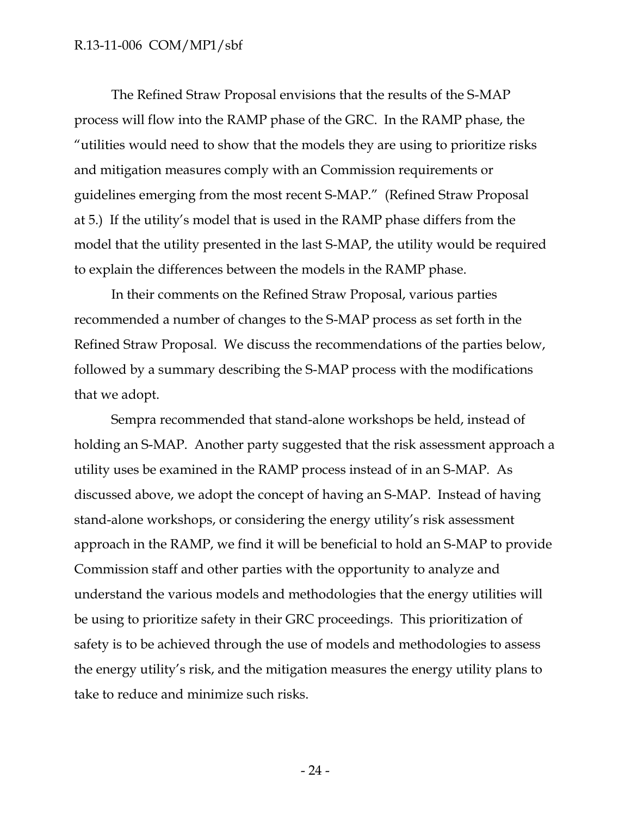The Refined Straw Proposal envisions that the results of the S-MAP process will flow into the RAMP phase of the GRC. In the RAMP phase, the "utilities would need to show that the models they are using to prioritize risks and mitigation measures comply with an Commission requirements or guidelines emerging from the most recent S-MAP." (Refined Straw Proposal at 5.) If the utility's model that is used in the RAMP phase differs from the model that the utility presented in the last S-MAP, the utility would be required to explain the differences between the models in the RAMP phase.

In their comments on the Refined Straw Proposal, various parties recommended a number of changes to the S-MAP process as set forth in the Refined Straw Proposal. We discuss the recommendations of the parties below, followed by a summary describing the S-MAP process with the modifications that we adopt.

Sempra recommended that stand-alone workshops be held, instead of holding an S-MAP. Another party suggested that the risk assessment approach a utility uses be examined in the RAMP process instead of in an S-MAP. As discussed above, we adopt the concept of having an S-MAP. Instead of having stand-alone workshops, or considering the energy utility's risk assessment approach in the RAMP, we find it will be beneficial to hold an S-MAP to provide Commission staff and other parties with the opportunity to analyze and understand the various models and methodologies that the energy utilities will be using to prioritize safety in their GRC proceedings. This prioritization of safety is to be achieved through the use of models and methodologies to assess the energy utility's risk, and the mitigation measures the energy utility plans to take to reduce and minimize such risks.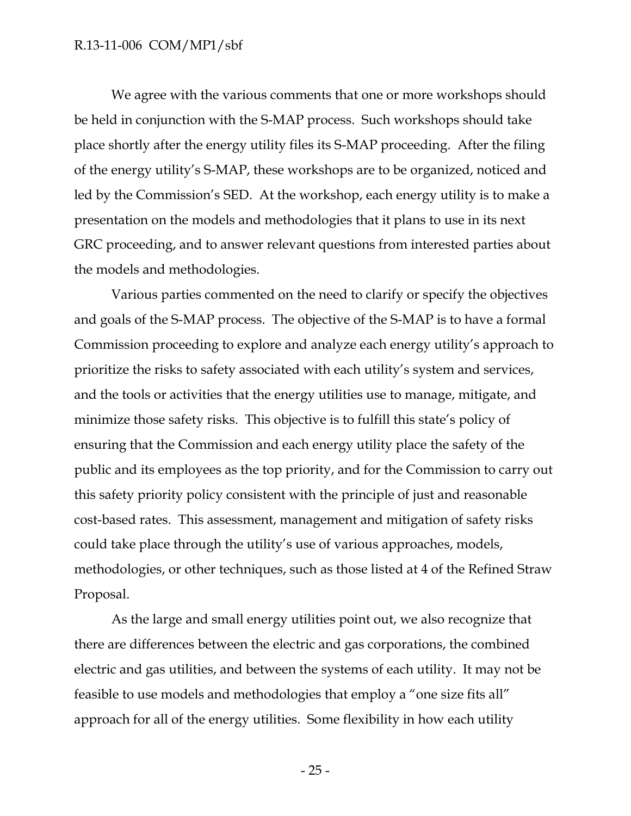We agree with the various comments that one or more workshops should be held in conjunction with the S-MAP process. Such workshops should take place shortly after the energy utility files its S-MAP proceeding. After the filing of the energy utility's S-MAP, these workshops are to be organized, noticed and led by the Commission's SED. At the workshop, each energy utility is to make a presentation on the models and methodologies that it plans to use in its next GRC proceeding, and to answer relevant questions from interested parties about the models and methodologies.

Various parties commented on the need to clarify or specify the objectives and goals of the S-MAP process. The objective of the S-MAP is to have a formal Commission proceeding to explore and analyze each energy utility's approach to prioritize the risks to safety associated with each utility's system and services, and the tools or activities that the energy utilities use to manage, mitigate, and minimize those safety risks. This objective is to fulfill this state's policy of ensuring that the Commission and each energy utility place the safety of the public and its employees as the top priority, and for the Commission to carry out this safety priority policy consistent with the principle of just and reasonable cost-based rates. This assessment, management and mitigation of safety risks could take place through the utility's use of various approaches, models, methodologies, or other techniques, such as those listed at 4 of the Refined Straw Proposal.

As the large and small energy utilities point out, we also recognize that there are differences between the electric and gas corporations, the combined electric and gas utilities, and between the systems of each utility. It may not be feasible to use models and methodologies that employ a "one size fits all" approach for all of the energy utilities. Some flexibility in how each utility

- 25 -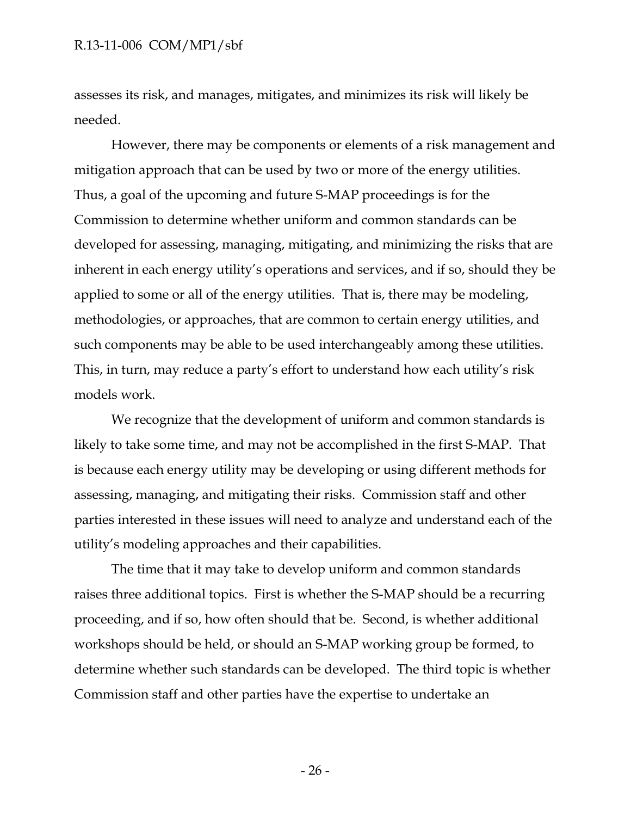assesses its risk, and manages, mitigates, and minimizes its risk will likely be needed.

However, there may be components or elements of a risk management and mitigation approach that can be used by two or more of the energy utilities. Thus, a goal of the upcoming and future S-MAP proceedings is for the Commission to determine whether uniform and common standards can be developed for assessing, managing, mitigating, and minimizing the risks that are inherent in each energy utility's operations and services, and if so, should they be applied to some or all of the energy utilities. That is, there may be modeling, methodologies, or approaches, that are common to certain energy utilities, and such components may be able to be used interchangeably among these utilities. This, in turn, may reduce a party's effort to understand how each utility's risk models work.

We recognize that the development of uniform and common standards is likely to take some time, and may not be accomplished in the first S-MAP. That is because each energy utility may be developing or using different methods for assessing, managing, and mitigating their risks. Commission staff and other parties interested in these issues will need to analyze and understand each of the utility's modeling approaches and their capabilities.

The time that it may take to develop uniform and common standards raises three additional topics. First is whether the S-MAP should be a recurring proceeding, and if so, how often should that be. Second, is whether additional workshops should be held, or should an S-MAP working group be formed, to determine whether such standards can be developed. The third topic is whether Commission staff and other parties have the expertise to undertake an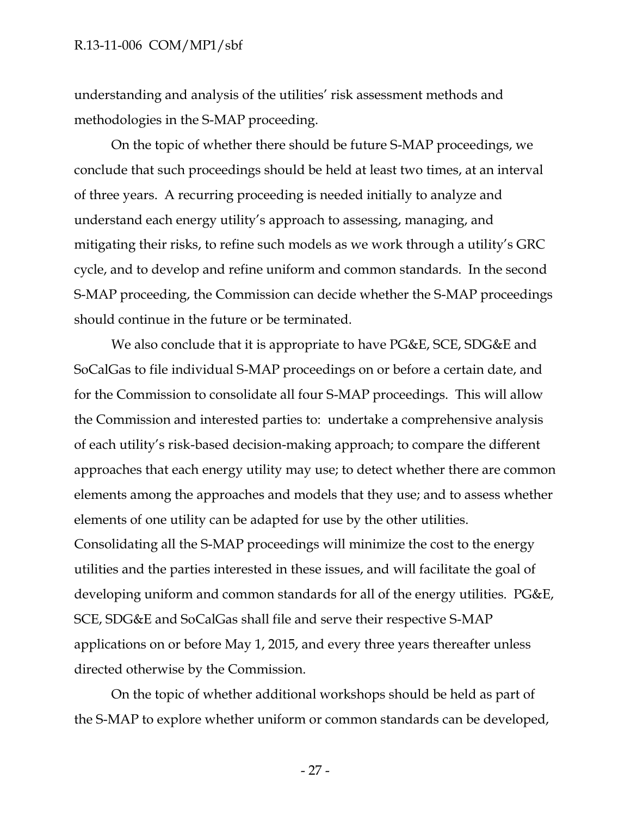understanding and analysis of the utilities' risk assessment methods and methodologies in the S-MAP proceeding.

On the topic of whether there should be future S-MAP proceedings, we conclude that such proceedings should be held at least two times, at an interval of three years. A recurring proceeding is needed initially to analyze and understand each energy utility's approach to assessing, managing, and mitigating their risks, to refine such models as we work through a utility's GRC cycle, and to develop and refine uniform and common standards. In the second S-MAP proceeding, the Commission can decide whether the S-MAP proceedings should continue in the future or be terminated.

We also conclude that it is appropriate to have PG&E, SCE, SDG&E and SoCalGas to file individual S-MAP proceedings on or before a certain date, and for the Commission to consolidate all four S-MAP proceedings. This will allow the Commission and interested parties to: undertake a comprehensive analysis of each utility's risk-based decision-making approach; to compare the different approaches that each energy utility may use; to detect whether there are common elements among the approaches and models that they use; and to assess whether elements of one utility can be adapted for use by the other utilities. Consolidating all the S-MAP proceedings will minimize the cost to the energy utilities and the parties interested in these issues, and will facilitate the goal of developing uniform and common standards for all of the energy utilities. PG&E, SCE, SDG&E and SoCalGas shall file and serve their respective S-MAP applications on or before May 1, 2015, and every three years thereafter unless directed otherwise by the Commission.

On the topic of whether additional workshops should be held as part of the S-MAP to explore whether uniform or common standards can be developed,

- 27 -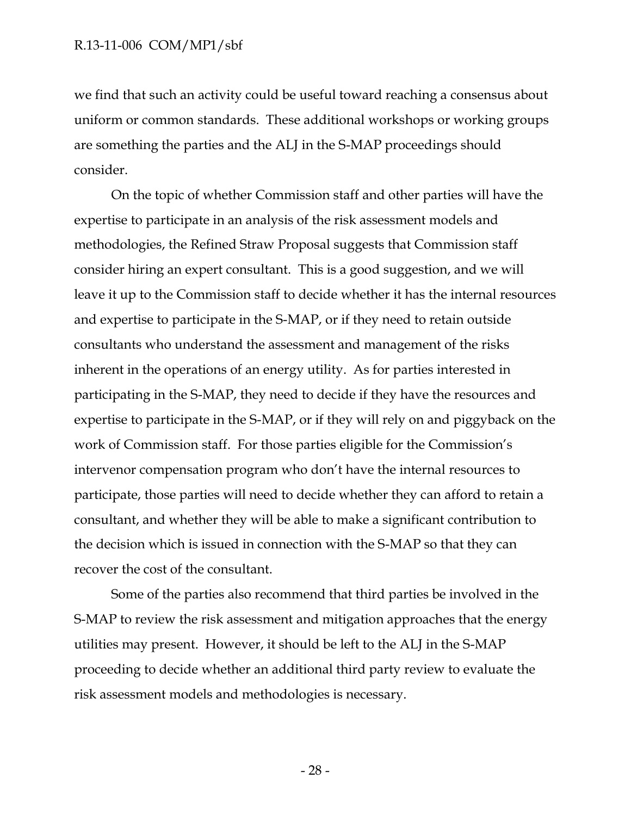we find that such an activity could be useful toward reaching a consensus about uniform or common standards. These additional workshops or working groups are something the parties and the ALJ in the S-MAP proceedings should consider.

On the topic of whether Commission staff and other parties will have the expertise to participate in an analysis of the risk assessment models and methodologies, the Refined Straw Proposal suggests that Commission staff consider hiring an expert consultant. This is a good suggestion, and we will leave it up to the Commission staff to decide whether it has the internal resources and expertise to participate in the S-MAP, or if they need to retain outside consultants who understand the assessment and management of the risks inherent in the operations of an energy utility. As for parties interested in participating in the S-MAP, they need to decide if they have the resources and expertise to participate in the S-MAP, or if they will rely on and piggyback on the work of Commission staff. For those parties eligible for the Commission's intervenor compensation program who don't have the internal resources to participate, those parties will need to decide whether they can afford to retain a consultant, and whether they will be able to make a significant contribution to the decision which is issued in connection with the S-MAP so that they can recover the cost of the consultant.

Some of the parties also recommend that third parties be involved in the S-MAP to review the risk assessment and mitigation approaches that the energy utilities may present. However, it should be left to the ALJ in the S-MAP proceeding to decide whether an additional third party review to evaluate the risk assessment models and methodologies is necessary.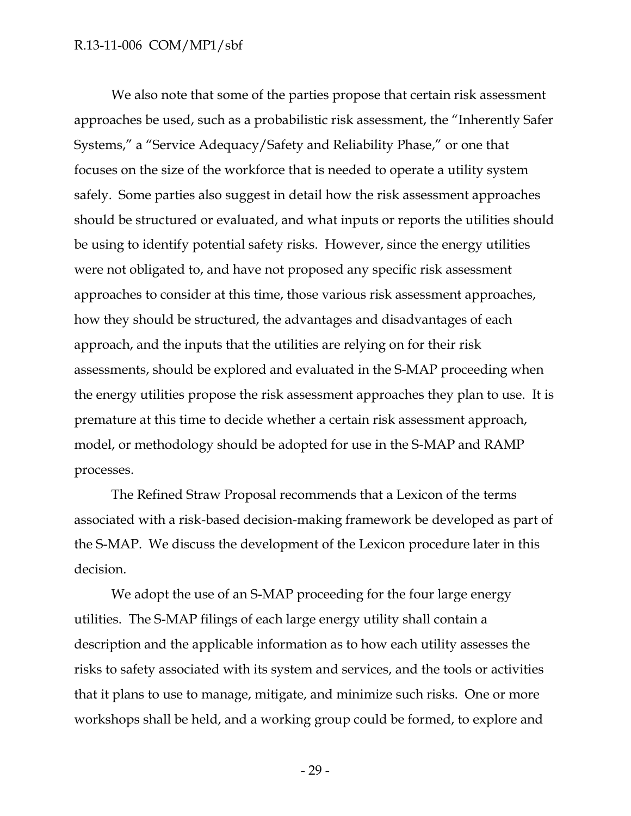We also note that some of the parties propose that certain risk assessment approaches be used, such as a probabilistic risk assessment, the "Inherently Safer Systems," a "Service Adequacy/Safety and Reliability Phase," or one that focuses on the size of the workforce that is needed to operate a utility system safely. Some parties also suggest in detail how the risk assessment approaches should be structured or evaluated, and what inputs or reports the utilities should be using to identify potential safety risks. However, since the energy utilities were not obligated to, and have not proposed any specific risk assessment approaches to consider at this time, those various risk assessment approaches, how they should be structured, the advantages and disadvantages of each approach, and the inputs that the utilities are relying on for their risk assessments, should be explored and evaluated in the S-MAP proceeding when the energy utilities propose the risk assessment approaches they plan to use. It is premature at this time to decide whether a certain risk assessment approach, model, or methodology should be adopted for use in the S-MAP and RAMP processes.

The Refined Straw Proposal recommends that a Lexicon of the terms associated with a risk-based decision-making framework be developed as part of the S-MAP. We discuss the development of the Lexicon procedure later in this decision.

We adopt the use of an S-MAP proceeding for the four large energy utilities. The S-MAP filings of each large energy utility shall contain a description and the applicable information as to how each utility assesses the risks to safety associated with its system and services, and the tools or activities that it plans to use to manage, mitigate, and minimize such risks. One or more workshops shall be held, and a working group could be formed, to explore and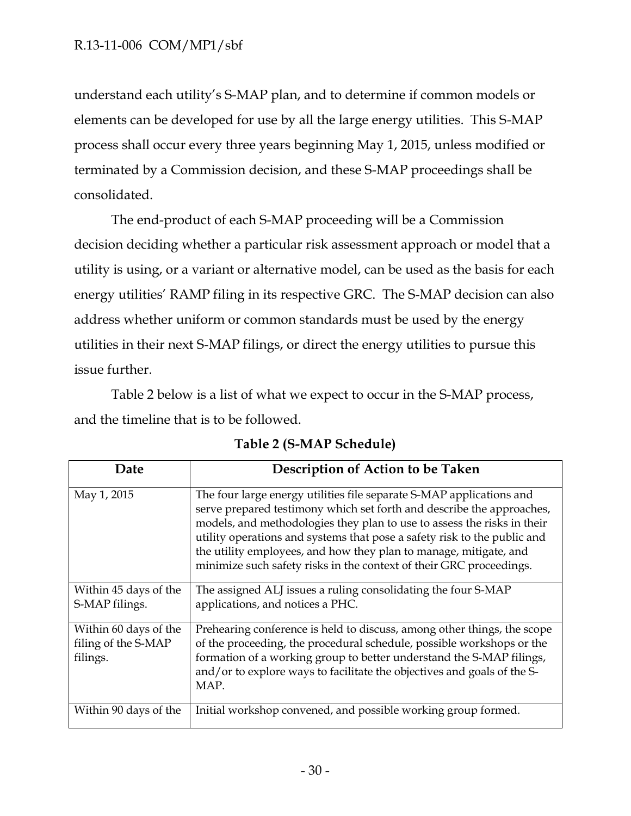understand each utility's S-MAP plan, and to determine if common models or elements can be developed for use by all the large energy utilities. This S-MAP process shall occur every three years beginning May 1, 2015, unless modified or terminated by a Commission decision, and these S-MAP proceedings shall be consolidated.

The end-product of each S-MAP proceeding will be a Commission decision deciding whether a particular risk assessment approach or model that a utility is using, or a variant or alternative model, can be used as the basis for each energy utilities' RAMP filing in its respective GRC. The S-MAP decision can also address whether uniform or common standards must be used by the energy utilities in their next S-MAP filings, or direct the energy utilities to pursue this issue further.

Table 2 below is a list of what we expect to occur in the S-MAP process, and the timeline that is to be followed.

| Date                                                     | Description of Action to be Taken                                                                                                                                                                                                                                                                                                                                                                                                                |
|----------------------------------------------------------|--------------------------------------------------------------------------------------------------------------------------------------------------------------------------------------------------------------------------------------------------------------------------------------------------------------------------------------------------------------------------------------------------------------------------------------------------|
| May 1, 2015                                              | The four large energy utilities file separate S-MAP applications and<br>serve prepared testimony which set forth and describe the approaches,<br>models, and methodologies they plan to use to assess the risks in their<br>utility operations and systems that pose a safety risk to the public and<br>the utility employees, and how they plan to manage, mitigate, and<br>minimize such safety risks in the context of their GRC proceedings. |
| Within 45 days of the<br>S-MAP filings.                  | The assigned ALJ issues a ruling consolidating the four S-MAP<br>applications, and notices a PHC.                                                                                                                                                                                                                                                                                                                                                |
| Within 60 days of the<br>filing of the S-MAP<br>filings. | Prehearing conference is held to discuss, among other things, the scope<br>of the proceeding, the procedural schedule, possible workshops or the<br>formation of a working group to better understand the S-MAP filings,<br>and/or to explore ways to facilitate the objectives and goals of the S-<br>MAP.                                                                                                                                      |
| Within 90 days of the                                    | Initial workshop convened, and possible working group formed.                                                                                                                                                                                                                                                                                                                                                                                    |

**Table 2 (S-MAP Schedule)**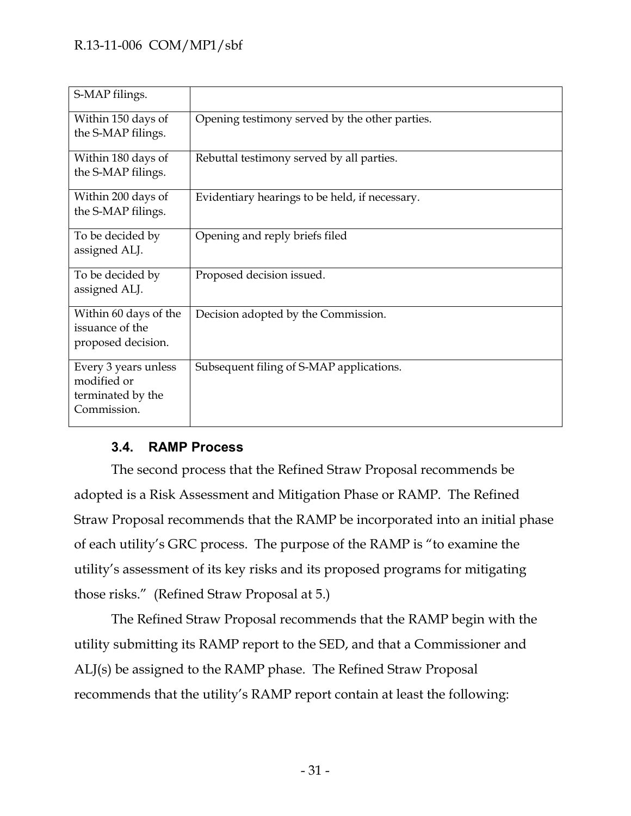| S-MAP filings.                                                          |                                                |
|-------------------------------------------------------------------------|------------------------------------------------|
| Within 150 days of<br>the S-MAP filings.                                | Opening testimony served by the other parties. |
| Within 180 days of<br>the S-MAP filings.                                | Rebuttal testimony served by all parties.      |
| Within 200 days of<br>the S-MAP filings.                                | Evidentiary hearings to be held, if necessary. |
| To be decided by<br>assigned ALJ.                                       | Opening and reply briefs filed                 |
| To be decided by<br>assigned ALJ.                                       | Proposed decision issued.                      |
| Within 60 days of the<br>issuance of the<br>proposed decision.          | Decision adopted by the Commission.            |
| Every 3 years unless<br>modified or<br>terminated by the<br>Commission. | Subsequent filing of S-MAP applications.       |

# **3.4. RAMP Process**

<span id="page-31-0"></span>The second process that the Refined Straw Proposal recommends be adopted is a Risk Assessment and Mitigation Phase or RAMP. The Refined Straw Proposal recommends that the RAMP be incorporated into an initial phase of each utility's GRC process. The purpose of the RAMP is "to examine the utility's assessment of its key risks and its proposed programs for mitigating those risks." (Refined Straw Proposal at 5.)

The Refined Straw Proposal recommends that the RAMP begin with the utility submitting its RAMP report to the SED, and that a Commissioner and ALJ(s) be assigned to the RAMP phase. The Refined Straw Proposal recommends that the utility's RAMP report contain at least the following: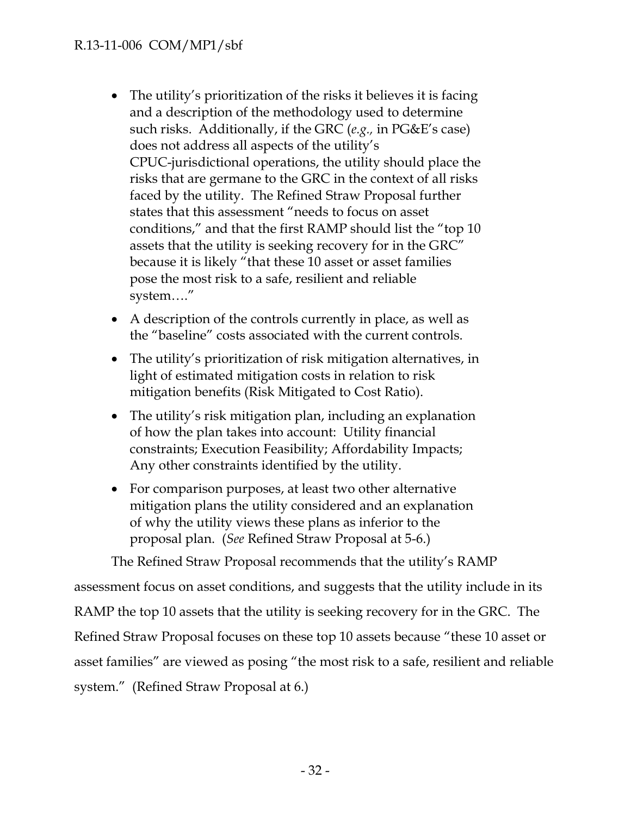- The utility's prioritization of the risks it believes it is facing and a description of the methodology used to determine such risks. Additionally, if the GRC (*e.g.,* in PG&E's case) does not address all aspects of the utility's CPUC-jurisdictional operations, the utility should place the risks that are germane to the GRC in the context of all risks faced by the utility. The Refined Straw Proposal further states that this assessment "needs to focus on asset conditions," and that the first RAMP should list the "top 10 assets that the utility is seeking recovery for in the GRC" because it is likely "that these 10 asset or asset families pose the most risk to a safe, resilient and reliable system…."
- A description of the controls currently in place, as well as the "baseline" costs associated with the current controls.
- The utility's prioritization of risk mitigation alternatives, in light of estimated mitigation costs in relation to risk mitigation benefits (Risk Mitigated to Cost Ratio).
- The utility's risk mitigation plan, including an explanation of how the plan takes into account: Utility financial constraints; Execution Feasibility; Affordability Impacts; Any other constraints identified by the utility.
- For comparison purposes, at least two other alternative mitigation plans the utility considered and an explanation of why the utility views these plans as inferior to the proposal plan. (*See* Refined Straw Proposal at 5-6.)

The Refined Straw Proposal recommends that the utility's RAMP assessment focus on asset conditions, and suggests that the utility include in its RAMP the top 10 assets that the utility is seeking recovery for in the GRC. The Refined Straw Proposal focuses on these top 10 assets because "these 10 asset or asset families" are viewed as posing "the most risk to a safe, resilient and reliable system." (Refined Straw Proposal at 6.)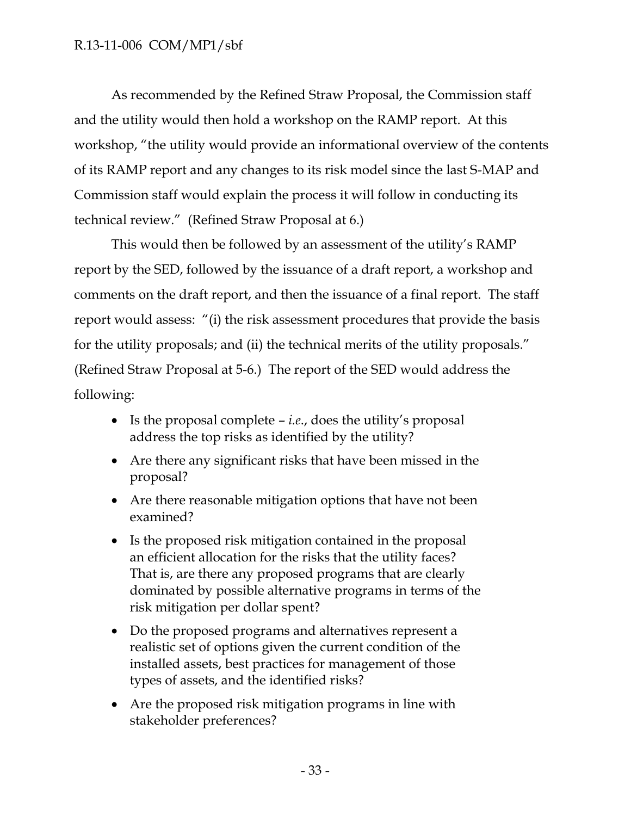As recommended by the Refined Straw Proposal, the Commission staff and the utility would then hold a workshop on the RAMP report. At this workshop, "the utility would provide an informational overview of the contents of its RAMP report and any changes to its risk model since the last S-MAP and Commission staff would explain the process it will follow in conducting its technical review." (Refined Straw Proposal at 6.)

This would then be followed by an assessment of the utility's RAMP report by the SED, followed by the issuance of a draft report, a workshop and comments on the draft report, and then the issuance of a final report. The staff report would assess: "(i) the risk assessment procedures that provide the basis for the utility proposals; and (ii) the technical merits of the utility proposals." (Refined Straw Proposal at 5-6.) The report of the SED would address the following:

- Is the proposal complete *i.e*., does the utility's proposal address the top risks as identified by the utility?
- Are there any significant risks that have been missed in the proposal?
- Are there reasonable mitigation options that have not been examined?
- Is the proposed risk mitigation contained in the proposal an efficient allocation for the risks that the utility faces? That is, are there any proposed programs that are clearly dominated by possible alternative programs in terms of the risk mitigation per dollar spent?
- Do the proposed programs and alternatives represent a realistic set of options given the current condition of the installed assets, best practices for management of those types of assets, and the identified risks?
- Are the proposed risk mitigation programs in line with stakeholder preferences?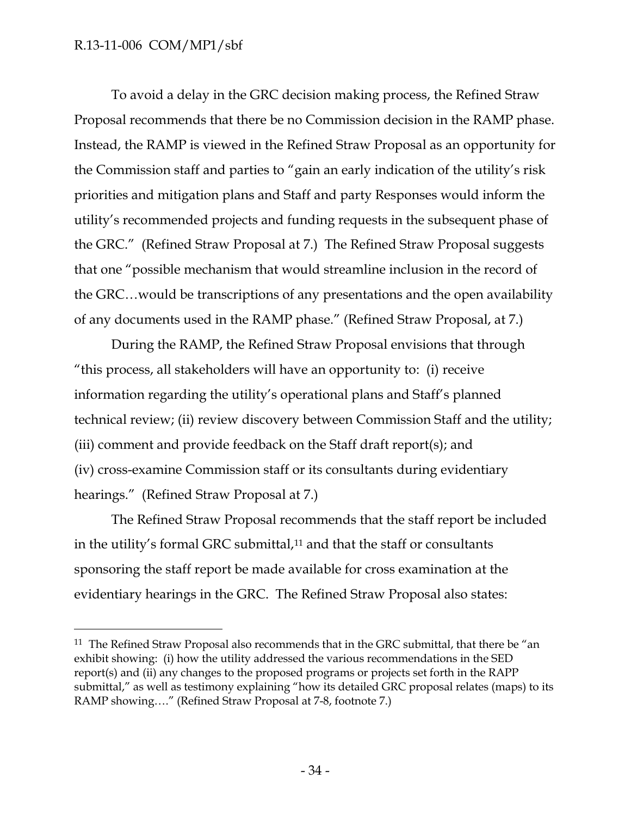$\overline{a}$ 

To avoid a delay in the GRC decision making process, the Refined Straw Proposal recommends that there be no Commission decision in the RAMP phase. Instead, the RAMP is viewed in the Refined Straw Proposal as an opportunity for the Commission staff and parties to "gain an early indication of the utility's risk priorities and mitigation plans and Staff and party Responses would inform the utility's recommended projects and funding requests in the subsequent phase of the GRC." (Refined Straw Proposal at 7.) The Refined Straw Proposal suggests that one "possible mechanism that would streamline inclusion in the record of the GRC…would be transcriptions of any presentations and the open availability of any documents used in the RAMP phase." (Refined Straw Proposal, at 7.)

During the RAMP, the Refined Straw Proposal envisions that through "this process, all stakeholders will have an opportunity to: (i) receive information regarding the utility's operational plans and Staff's planned technical review; (ii) review discovery between Commission Staff and the utility; (iii) comment and provide feedback on the Staff draft report(s); and (iv) cross-examine Commission staff or its consultants during evidentiary hearings." (Refined Straw Proposal at 7.)

The Refined Straw Proposal recommends that the staff report be included in the utility's formal GRC submittal,<sup>11</sup> and that the staff or consultants sponsoring the staff report be made available for cross examination at the evidentiary hearings in the GRC. The Refined Straw Proposal also states:

 $11$  The Refined Straw Proposal also recommends that in the GRC submittal, that there be "an exhibit showing: (i) how the utility addressed the various recommendations in the SED report(s) and (ii) any changes to the proposed programs or projects set forth in the RAPP submittal," as well as testimony explaining "how its detailed GRC proposal relates (maps) to its RAMP showing…." (Refined Straw Proposal at 7-8, footnote 7.)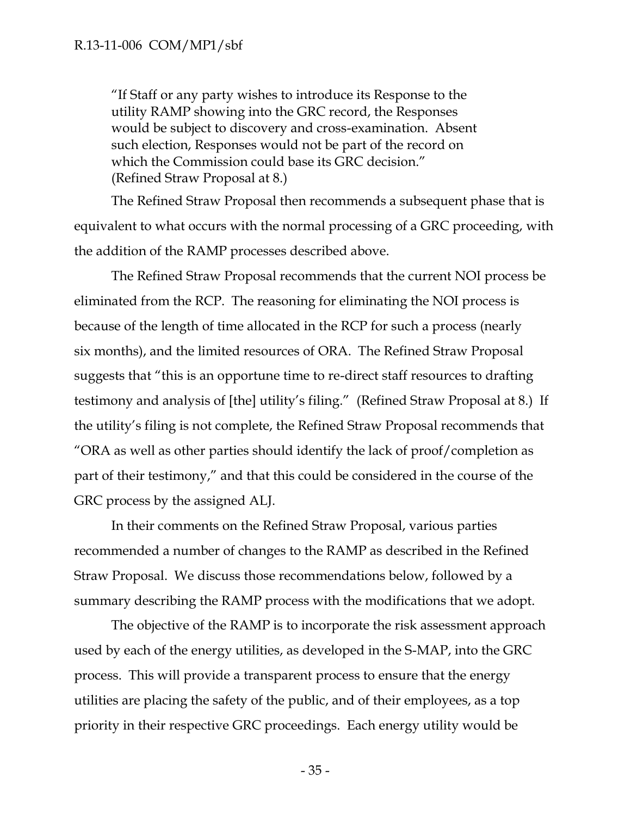"If Staff or any party wishes to introduce its Response to the utility RAMP showing into the GRC record, the Responses would be subject to discovery and cross-examination. Absent such election, Responses would not be part of the record on which the Commission could base its GRC decision." (Refined Straw Proposal at 8.)

The Refined Straw Proposal then recommends a subsequent phase that is equivalent to what occurs with the normal processing of a GRC proceeding, with the addition of the RAMP processes described above.

The Refined Straw Proposal recommends that the current NOI process be eliminated from the RCP. The reasoning for eliminating the NOI process is because of the length of time allocated in the RCP for such a process (nearly six months), and the limited resources of ORA. The Refined Straw Proposal suggests that "this is an opportune time to re-direct staff resources to drafting testimony and analysis of [the] utility's filing." (Refined Straw Proposal at 8.) If the utility's filing is not complete, the Refined Straw Proposal recommends that "ORA as well as other parties should identify the lack of proof/completion as part of their testimony," and that this could be considered in the course of the GRC process by the assigned ALJ.

In their comments on the Refined Straw Proposal, various parties recommended a number of changes to the RAMP as described in the Refined Straw Proposal. We discuss those recommendations below, followed by a summary describing the RAMP process with the modifications that we adopt.

The objective of the RAMP is to incorporate the risk assessment approach used by each of the energy utilities, as developed in the S-MAP, into the GRC process. This will provide a transparent process to ensure that the energy utilities are placing the safety of the public, and of their employees, as a top priority in their respective GRC proceedings. Each energy utility would be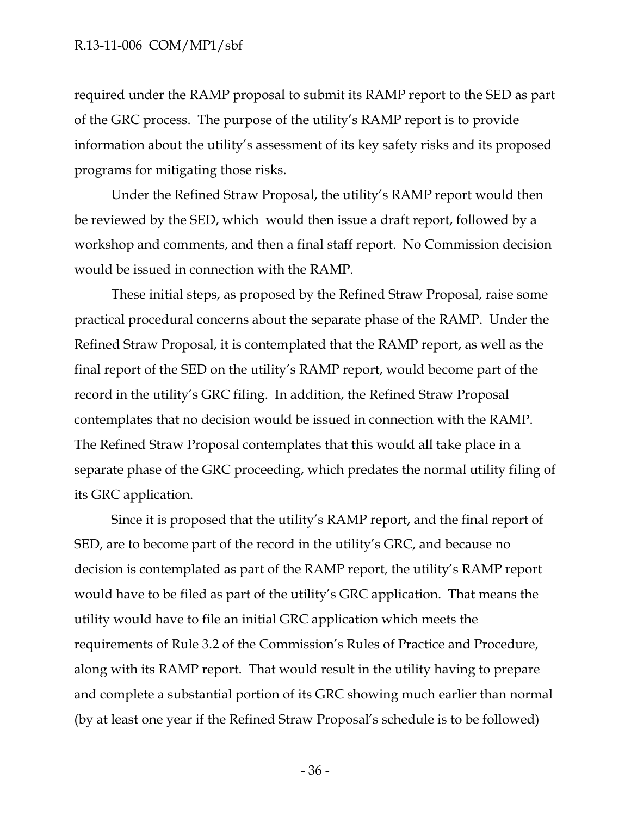required under the RAMP proposal to submit its RAMP report to the SED as part of the GRC process. The purpose of the utility's RAMP report is to provide information about the utility's assessment of its key safety risks and its proposed programs for mitigating those risks.

Under the Refined Straw Proposal, the utility's RAMP report would then be reviewed by the SED, which would then issue a draft report, followed by a workshop and comments, and then a final staff report. No Commission decision would be issued in connection with the RAMP.

These initial steps, as proposed by the Refined Straw Proposal, raise some practical procedural concerns about the separate phase of the RAMP. Under the Refined Straw Proposal, it is contemplated that the RAMP report, as well as the final report of the SED on the utility's RAMP report, would become part of the record in the utility's GRC filing. In addition, the Refined Straw Proposal contemplates that no decision would be issued in connection with the RAMP. The Refined Straw Proposal contemplates that this would all take place in a separate phase of the GRC proceeding, which predates the normal utility filing of its GRC application.

Since it is proposed that the utility's RAMP report, and the final report of SED, are to become part of the record in the utility's GRC, and because no decision is contemplated as part of the RAMP report, the utility's RAMP report would have to be filed as part of the utility's GRC application. That means the utility would have to file an initial GRC application which meets the requirements of Rule 3.2 of the Commission's Rules of Practice and Procedure, along with its RAMP report. That would result in the utility having to prepare and complete a substantial portion of its GRC showing much earlier than normal (by at least one year if the Refined Straw Proposal's schedule is to be followed)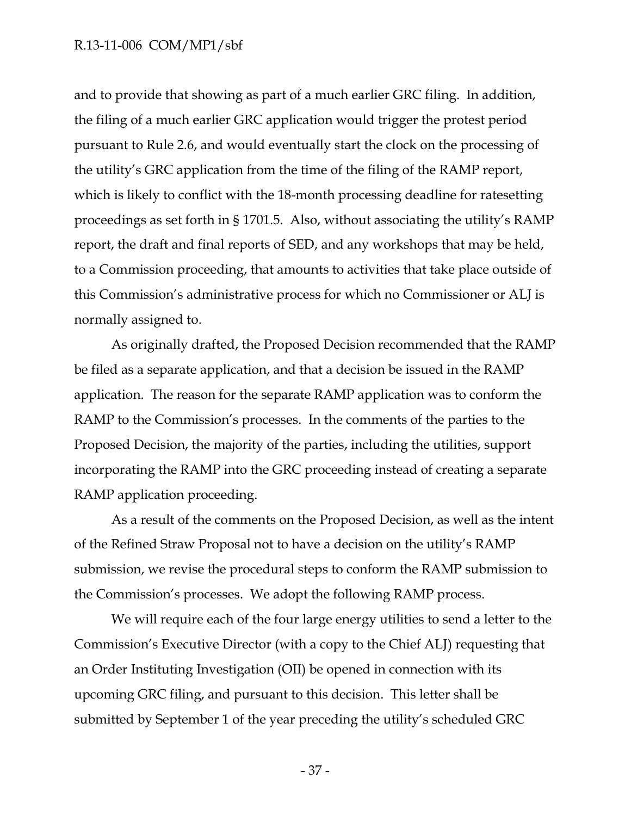and to provide that showing as part of a much earlier GRC filing. In addition, the filing of a much earlier GRC application would trigger the protest period pursuant to Rule 2.6, and would eventually start the clock on the processing of the utility's GRC application from the time of the filing of the RAMP report, which is likely to conflict with the 18-month processing deadline for ratesetting proceedings as set forth in § 1701.5. Also, without associating the utility's RAMP report, the draft and final reports of SED, and any workshops that may be held, to a Commission proceeding, that amounts to activities that take place outside of this Commission's administrative process for which no Commissioner or ALJ is normally assigned to.

As originally drafted, the Proposed Decision recommended that the RAMP be filed as a separate application, and that a decision be issued in the RAMP application. The reason for the separate RAMP application was to conform the RAMP to the Commission's processes. In the comments of the parties to the Proposed Decision, the majority of the parties, including the utilities, support incorporating the RAMP into the GRC proceeding instead of creating a separate RAMP application proceeding.

As a result of the comments on the Proposed Decision, as well as the intent of the Refined Straw Proposal not to have a decision on the utility's RAMP submission, we revise the procedural steps to conform the RAMP submission to the Commission's processes. We adopt the following RAMP process.

We will require each of the four large energy utilities to send a letter to the Commission's Executive Director (with a copy to the Chief ALJ) requesting that an Order Instituting Investigation (OII) be opened in connection with its upcoming GRC filing, and pursuant to this decision. This letter shall be submitted by September 1 of the year preceding the utility's scheduled GRC

- 37 -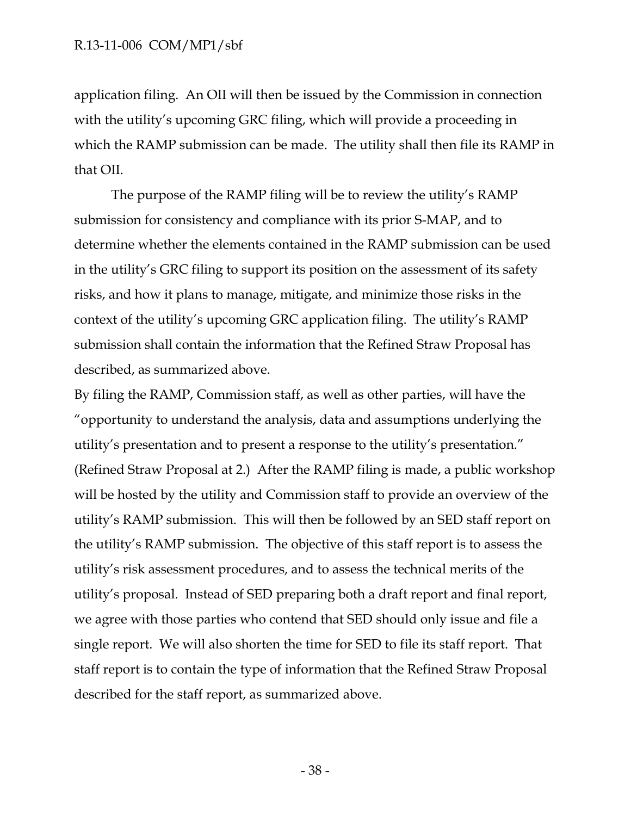application filing. An OII will then be issued by the Commission in connection with the utility's upcoming GRC filing, which will provide a proceeding in which the RAMP submission can be made. The utility shall then file its RAMP in that OII.

The purpose of the RAMP filing will be to review the utility's RAMP submission for consistency and compliance with its prior S-MAP, and to determine whether the elements contained in the RAMP submission can be used in the utility's GRC filing to support its position on the assessment of its safety risks, and how it plans to manage, mitigate, and minimize those risks in the context of the utility's upcoming GRC application filing. The utility's RAMP submission shall contain the information that the Refined Straw Proposal has described, as summarized above.

By filing the RAMP, Commission staff, as well as other parties, will have the "opportunity to understand the analysis, data and assumptions underlying the utility's presentation and to present a response to the utility's presentation." (Refined Straw Proposal at 2.) After the RAMP filing is made, a public workshop will be hosted by the utility and Commission staff to provide an overview of the utility's RAMP submission. This will then be followed by an SED staff report on the utility's RAMP submission. The objective of this staff report is to assess the utility's risk assessment procedures, and to assess the technical merits of the utility's proposal. Instead of SED preparing both a draft report and final report, we agree with those parties who contend that SED should only issue and file a single report. We will also shorten the time for SED to file its staff report. That staff report is to contain the type of information that the Refined Straw Proposal described for the staff report, as summarized above.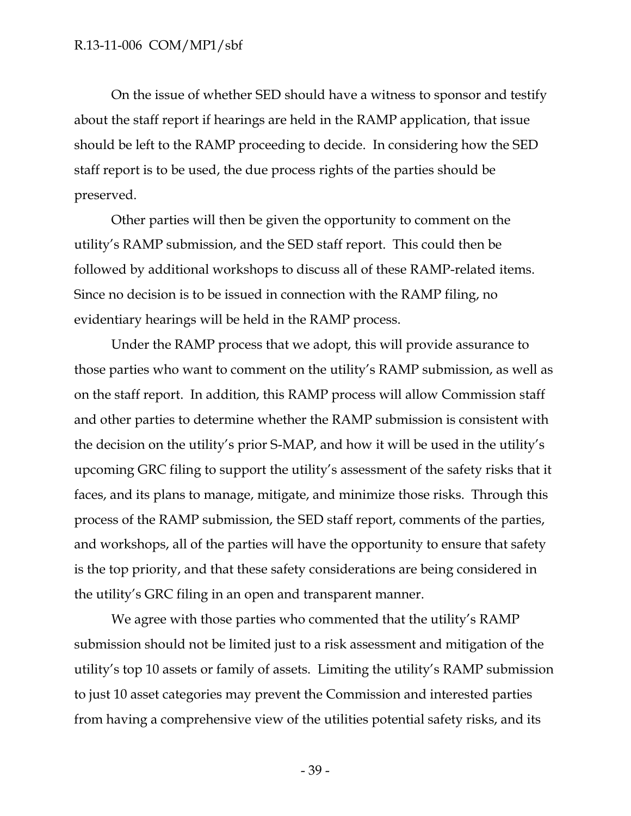On the issue of whether SED should have a witness to sponsor and testify about the staff report if hearings are held in the RAMP application, that issue should be left to the RAMP proceeding to decide. In considering how the SED staff report is to be used, the due process rights of the parties should be preserved.

Other parties will then be given the opportunity to comment on the utility's RAMP submission, and the SED staff report. This could then be followed by additional workshops to discuss all of these RAMP-related items. Since no decision is to be issued in connection with the RAMP filing, no evidentiary hearings will be held in the RAMP process.

Under the RAMP process that we adopt, this will provide assurance to those parties who want to comment on the utility's RAMP submission, as well as on the staff report. In addition, this RAMP process will allow Commission staff and other parties to determine whether the RAMP submission is consistent with the decision on the utility's prior S-MAP, and how it will be used in the utility's upcoming GRC filing to support the utility's assessment of the safety risks that it faces, and its plans to manage, mitigate, and minimize those risks. Through this process of the RAMP submission, the SED staff report, comments of the parties, and workshops, all of the parties will have the opportunity to ensure that safety is the top priority, and that these safety considerations are being considered in the utility's GRC filing in an open and transparent manner.

We agree with those parties who commented that the utility's RAMP submission should not be limited just to a risk assessment and mitigation of the utility's top 10 assets or family of assets. Limiting the utility's RAMP submission to just 10 asset categories may prevent the Commission and interested parties from having a comprehensive view of the utilities potential safety risks, and its

- 39 -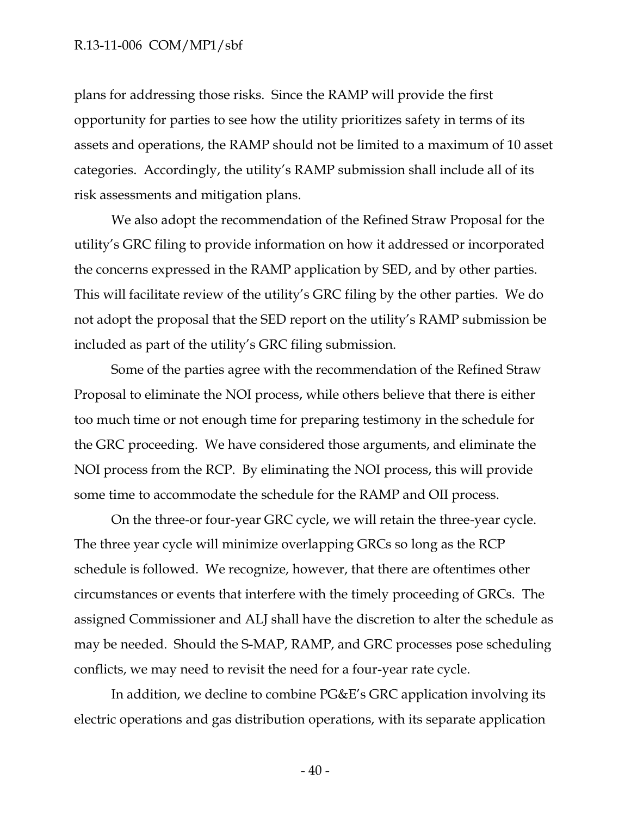plans for addressing those risks. Since the RAMP will provide the first opportunity for parties to see how the utility prioritizes safety in terms of its assets and operations, the RAMP should not be limited to a maximum of 10 asset categories. Accordingly, the utility's RAMP submission shall include all of its risk assessments and mitigation plans.

We also adopt the recommendation of the Refined Straw Proposal for the utility's GRC filing to provide information on how it addressed or incorporated the concerns expressed in the RAMP application by SED, and by other parties. This will facilitate review of the utility's GRC filing by the other parties. We do not adopt the proposal that the SED report on the utility's RAMP submission be included as part of the utility's GRC filing submission.

Some of the parties agree with the recommendation of the Refined Straw Proposal to eliminate the NOI process, while others believe that there is either too much time or not enough time for preparing testimony in the schedule for the GRC proceeding. We have considered those arguments, and eliminate the NOI process from the RCP. By eliminating the NOI process, this will provide some time to accommodate the schedule for the RAMP and OII process.

On the three-or four-year GRC cycle, we will retain the three-year cycle. The three year cycle will minimize overlapping GRCs so long as the RCP schedule is followed. We recognize, however, that there are oftentimes other circumstances or events that interfere with the timely proceeding of GRCs. The assigned Commissioner and ALJ shall have the discretion to alter the schedule as may be needed. Should the S-MAP, RAMP, and GRC processes pose scheduling conflicts, we may need to revisit the need for a four-year rate cycle.

In addition, we decline to combine PG&E's GRC application involving its electric operations and gas distribution operations, with its separate application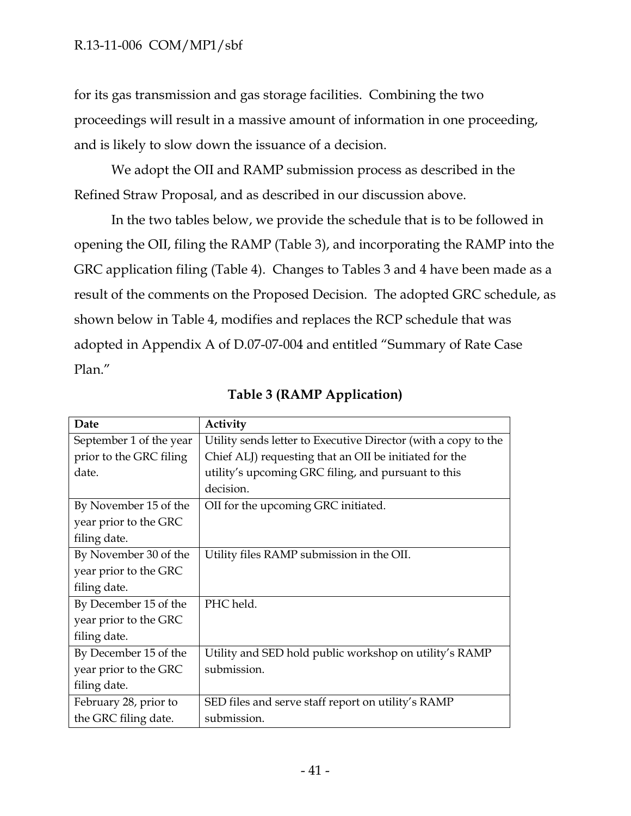for its gas transmission and gas storage facilities. Combining the two proceedings will result in a massive amount of information in one proceeding, and is likely to slow down the issuance of a decision.

We adopt the OII and RAMP submission process as described in the Refined Straw Proposal, and as described in our discussion above.

In the two tables below, we provide the schedule that is to be followed in opening the OII, filing the RAMP (Table 3), and incorporating the RAMP into the GRC application filing (Table 4). Changes to Tables 3 and 4 have been made as a result of the comments on the Proposed Decision. The adopted GRC schedule, as shown below in Table 4, modifies and replaces the RCP schedule that was adopted in Appendix A of D.07-07-004 and entitled "Summary of Rate Case Plan."

| Date                    | Activity                                                       |
|-------------------------|----------------------------------------------------------------|
| September 1 of the year | Utility sends letter to Executive Director (with a copy to the |
| prior to the GRC filing | Chief ALJ) requesting that an OII be initiated for the         |
| date.                   | utility's upcoming GRC filing, and pursuant to this            |
|                         | decision.                                                      |
| By November 15 of the   | OII for the upcoming GRC initiated.                            |
| year prior to the GRC   |                                                                |
| filing date.            |                                                                |
| By November 30 of the   | Utility files RAMP submission in the OII.                      |
| year prior to the GRC   |                                                                |
| filing date.            |                                                                |
| By December 15 of the   | PHC held.                                                      |
| year prior to the GRC   |                                                                |
| filing date.            |                                                                |
| By December 15 of the   | Utility and SED hold public workshop on utility's RAMP         |
| year prior to the GRC   | submission.                                                    |
| filing date.            |                                                                |
| February 28, prior to   | SED files and serve staff report on utility's RAMP             |
| the GRC filing date.    | submission.                                                    |

# **Table 3 (RAMP Application)**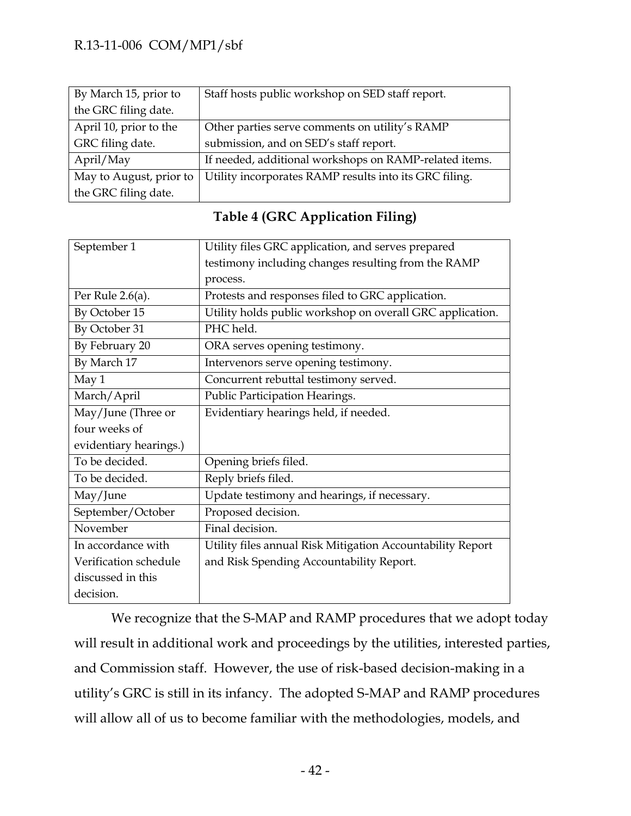| By March 15, prior to   | Staff hosts public workshop on SED staff report.       |
|-------------------------|--------------------------------------------------------|
| the GRC filing date.    |                                                        |
| April 10, prior to the  | Other parties serve comments on utility's RAMP         |
| GRC filing date.        | submission, and on SED's staff report.                 |
| April/May               | If needed, additional workshops on RAMP-related items. |
| May to August, prior to | Utility incorporates RAMP results into its GRC filing. |
| the GRC filing date.    |                                                        |

| September 1            | Utility files GRC application, and serves prepared         |
|------------------------|------------------------------------------------------------|
|                        | testimony including changes resulting from the RAMP        |
|                        | process.                                                   |
| Per Rule $2.6(a)$ .    | Protests and responses filed to GRC application.           |
| By October 15          | Utility holds public workshop on overall GRC application.  |
| By October 31          | PHC held.                                                  |
| By February 20         | ORA serves opening testimony.                              |
| By March 17            | Intervenors serve opening testimony.                       |
| May 1                  | Concurrent rebuttal testimony served.                      |
| March/April            | Public Participation Hearings.                             |
| May/June (Three or     | Evidentiary hearings held, if needed.                      |
| four weeks of          |                                                            |
| evidentiary hearings.) |                                                            |
| To be decided.         | Opening briefs filed.                                      |
| To be decided.         | Reply briefs filed.                                        |
| May/June               | Update testimony and hearings, if necessary.               |
| September/October      | Proposed decision.                                         |
| November               | Final decision.                                            |
| In accordance with     | Utility files annual Risk Mitigation Accountability Report |
| Verification schedule  | and Risk Spending Accountability Report.                   |
| discussed in this      |                                                            |
| decision.              |                                                            |

# **Table 4 (GRC Application Filing)**

We recognize that the S-MAP and RAMP procedures that we adopt today will result in additional work and proceedings by the utilities, interested parties, and Commission staff. However, the use of risk-based decision-making in a utility's GRC is still in its infancy. The adopted S-MAP and RAMP procedures will allow all of us to become familiar with the methodologies, models, and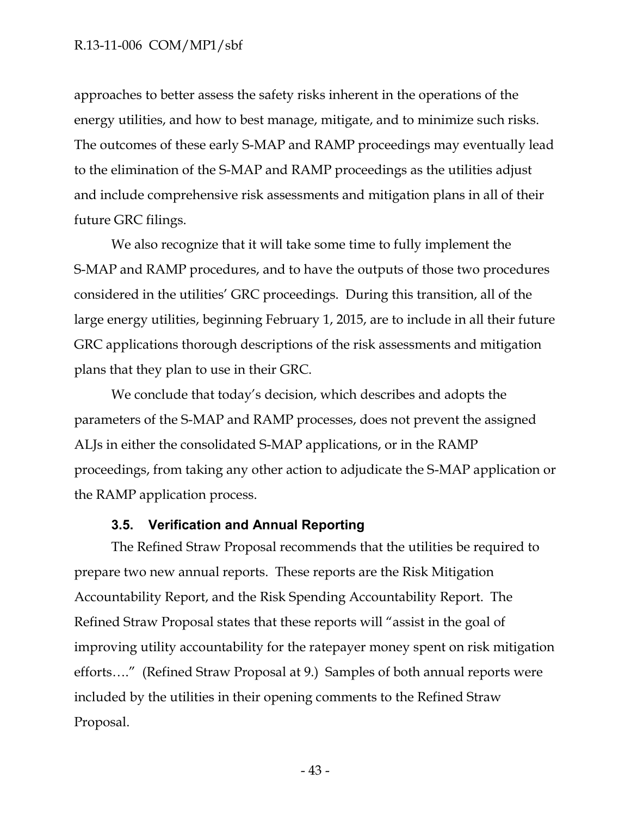approaches to better assess the safety risks inherent in the operations of the energy utilities, and how to best manage, mitigate, and to minimize such risks. The outcomes of these early S-MAP and RAMP proceedings may eventually lead to the elimination of the S-MAP and RAMP proceedings as the utilities adjust and include comprehensive risk assessments and mitigation plans in all of their future GRC filings.

We also recognize that it will take some time to fully implement the S-MAP and RAMP procedures, and to have the outputs of those two procedures considered in the utilities' GRC proceedings. During this transition, all of the large energy utilities, beginning February 1, 2015, are to include in all their future GRC applications thorough descriptions of the risk assessments and mitigation plans that they plan to use in their GRC.

We conclude that today's decision, which describes and adopts the parameters of the S-MAP and RAMP processes, does not prevent the assigned ALJs in either the consolidated S-MAP applications, or in the RAMP proceedings, from taking any other action to adjudicate the S-MAP application or the RAMP application process.

#### **3.5. Verification and Annual Reporting**

<span id="page-43-0"></span>The Refined Straw Proposal recommends that the utilities be required to prepare two new annual reports. These reports are the Risk Mitigation Accountability Report, and the Risk Spending Accountability Report. The Refined Straw Proposal states that these reports will "assist in the goal of improving utility accountability for the ratepayer money spent on risk mitigation efforts…." (Refined Straw Proposal at 9.) Samples of both annual reports were included by the utilities in their opening comments to the Refined Straw Proposal.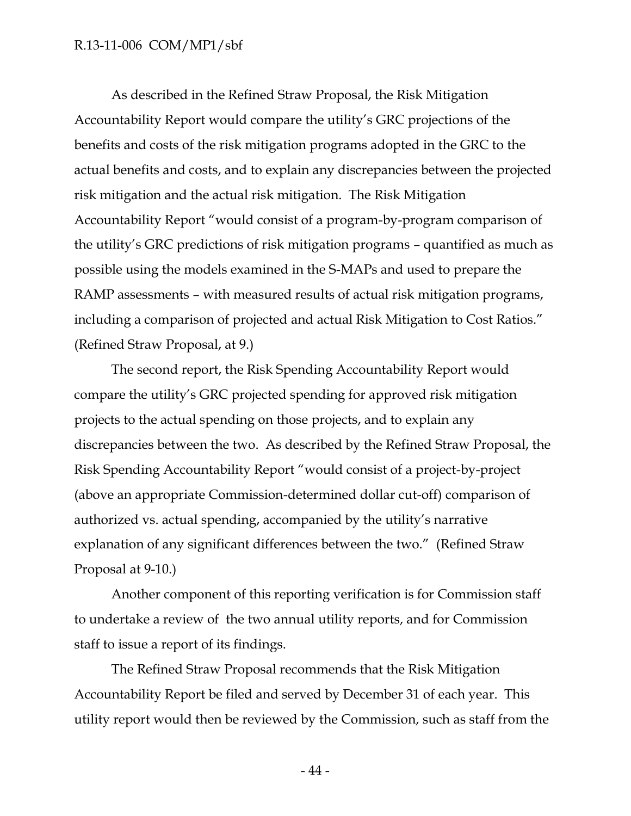As described in the Refined Straw Proposal, the Risk Mitigation Accountability Report would compare the utility's GRC projections of the benefits and costs of the risk mitigation programs adopted in the GRC to the actual benefits and costs, and to explain any discrepancies between the projected risk mitigation and the actual risk mitigation. The Risk Mitigation Accountability Report "would consist of a program-by-program comparison of the utility's GRC predictions of risk mitigation programs – quantified as much as possible using the models examined in the S-MAPs and used to prepare the RAMP assessments – with measured results of actual risk mitigation programs, including a comparison of projected and actual Risk Mitigation to Cost Ratios." (Refined Straw Proposal, at 9.)

The second report, the Risk Spending Accountability Report would compare the utility's GRC projected spending for approved risk mitigation projects to the actual spending on those projects, and to explain any discrepancies between the two. As described by the Refined Straw Proposal, the Risk Spending Accountability Report "would consist of a project-by-project (above an appropriate Commission-determined dollar cut-off) comparison of authorized vs. actual spending, accompanied by the utility's narrative explanation of any significant differences between the two." (Refined Straw Proposal at 9-10.)

Another component of this reporting verification is for Commission staff to undertake a review of the two annual utility reports, and for Commission staff to issue a report of its findings.

The Refined Straw Proposal recommends that the Risk Mitigation Accountability Report be filed and served by December 31 of each year. This utility report would then be reviewed by the Commission, such as staff from the

- 44 -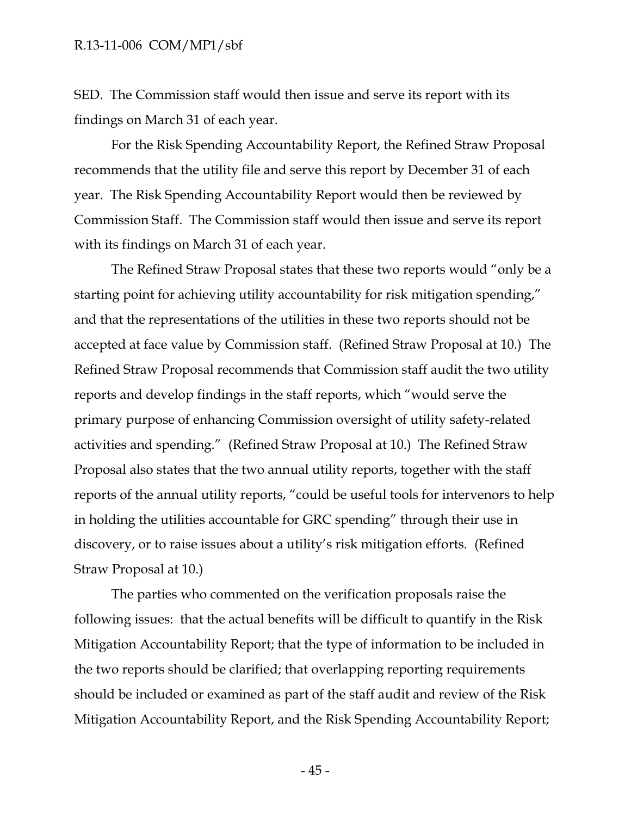SED. The Commission staff would then issue and serve its report with its findings on March 31 of each year.

For the Risk Spending Accountability Report, the Refined Straw Proposal recommends that the utility file and serve this report by December 31 of each year. The Risk Spending Accountability Report would then be reviewed by Commission Staff. The Commission staff would then issue and serve its report with its findings on March 31 of each year.

The Refined Straw Proposal states that these two reports would "only be a starting point for achieving utility accountability for risk mitigation spending," and that the representations of the utilities in these two reports should not be accepted at face value by Commission staff. (Refined Straw Proposal at 10.) The Refined Straw Proposal recommends that Commission staff audit the two utility reports and develop findings in the staff reports, which "would serve the primary purpose of enhancing Commission oversight of utility safety-related activities and spending." (Refined Straw Proposal at 10.) The Refined Straw Proposal also states that the two annual utility reports, together with the staff reports of the annual utility reports, "could be useful tools for intervenors to help in holding the utilities accountable for GRC spending" through their use in discovery, or to raise issues about a utility's risk mitigation efforts. (Refined Straw Proposal at 10.)

The parties who commented on the verification proposals raise the following issues: that the actual benefits will be difficult to quantify in the Risk Mitigation Accountability Report; that the type of information to be included in the two reports should be clarified; that overlapping reporting requirements should be included or examined as part of the staff audit and review of the Risk Mitigation Accountability Report, and the Risk Spending Accountability Report;

- 45 -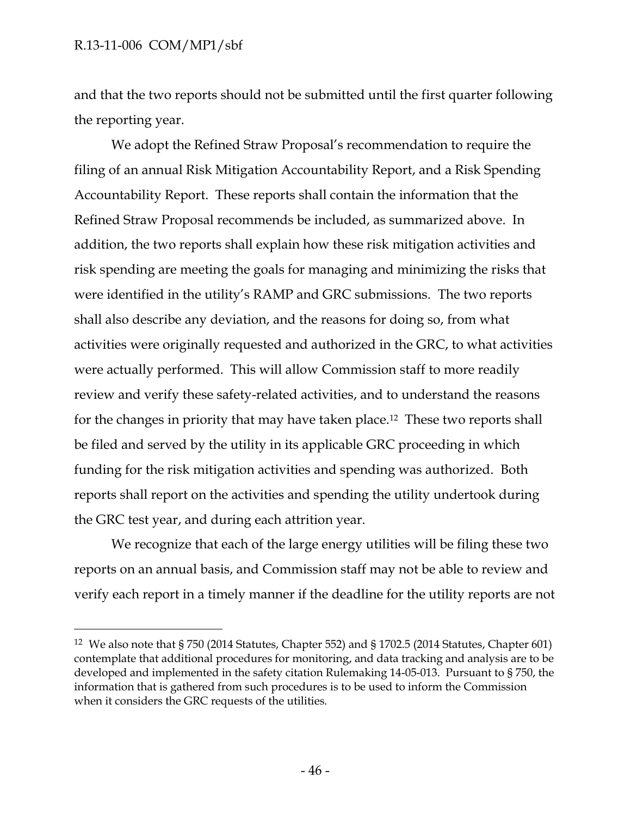$\overline{a}$ 

and that the two reports should not be submitted until the first quarter following the reporting year.

We adopt the Refined Straw Proposal's recommendation to require the filing of an annual Risk Mitigation Accountability Report, and a Risk Spending Accountability Report. These reports shall contain the information that the Refined Straw Proposal recommends be included, as summarized above. In addition, the two reports shall explain how these risk mitigation activities and risk spending are meeting the goals for managing and minimizing the risks that were identified in the utility's RAMP and GRC submissions. The two reports shall also describe any deviation, and the reasons for doing so, from what activities were originally requested and authorized in the GRC, to what activities were actually performed. This will allow Commission staff to more readily review and verify these safety-related activities, and to understand the reasons for the changes in priority that may have taken place.<sup>12</sup> These two reports shall be filed and served by the utility in its applicable GRC proceeding in which funding for the risk mitigation activities and spending was authorized. Both reports shall report on the activities and spending the utility undertook during the GRC test year, and during each attrition year.

We recognize that each of the large energy utilities will be filing these two reports on an annual basis, and Commission staff may not be able to review and verify each report in a timely manner if the deadline for the utility reports are not

<sup>12</sup> We also note that § 750 (2014 Statutes, Chapter 552) and § 1702.5 (2014 Statutes, Chapter 601) contemplate that additional procedures for monitoring, and data tracking and analysis are to be developed and implemented in the safety citation Rulemaking 14-05-013. Pursuant to § 750, the information that is gathered from such procedures is to be used to inform the Commission when it considers the GRC requests of the utilities.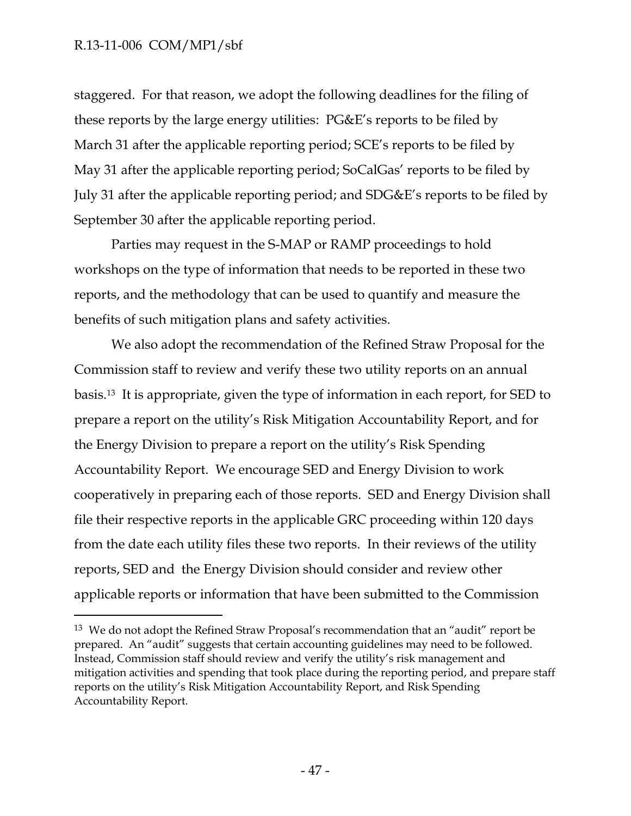$\overline{a}$ 

staggered. For that reason, we adopt the following deadlines for the filing of these reports by the large energy utilities: PG&E's reports to be filed by March 31 after the applicable reporting period; SCE's reports to be filed by May 31 after the applicable reporting period; SoCalGas' reports to be filed by July 31 after the applicable reporting period; and SDG&E's reports to be filed by September 30 after the applicable reporting period.

Parties may request in the S-MAP or RAMP proceedings to hold workshops on the type of information that needs to be reported in these two reports, and the methodology that can be used to quantify and measure the benefits of such mitigation plans and safety activities.

We also adopt the recommendation of the Refined Straw Proposal for the Commission staff to review and verify these two utility reports on an annual basis.13 It is appropriate, given the type of information in each report, for SED to prepare a report on the utility's Risk Mitigation Accountability Report, and for the Energy Division to prepare a report on the utility's Risk Spending Accountability Report. We encourage SED and Energy Division to work cooperatively in preparing each of those reports. SED and Energy Division shall file their respective reports in the applicable GRC proceeding within 120 days from the date each utility files these two reports. In their reviews of the utility reports, SED and the Energy Division should consider and review other applicable reports or information that have been submitted to the Commission

<sup>&</sup>lt;sup>13</sup> We do not adopt the Refined Straw Proposal's recommendation that an "audit" report be prepared. An "audit" suggests that certain accounting guidelines may need to be followed. Instead, Commission staff should review and verify the utility's risk management and mitigation activities and spending that took place during the reporting period, and prepare staff reports on the utility's Risk Mitigation Accountability Report, and Risk Spending Accountability Report.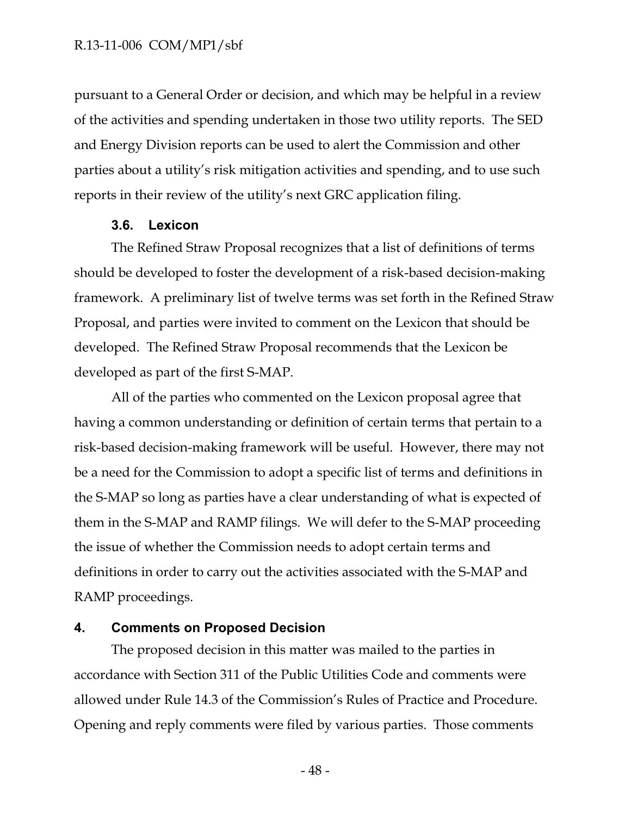pursuant to a General Order or decision, and which may be helpful in a review of the activities and spending undertaken in those two utility reports. The SED and Energy Division reports can be used to alert the Commission and other parties about a utility's risk mitigation activities and spending, and to use such reports in their review of the utility's next GRC application filing.

#### **3.6. Lexicon**

<span id="page-48-0"></span>The Refined Straw Proposal recognizes that a list of definitions of terms should be developed to foster the development of a risk-based decision-making framework. A preliminary list of twelve terms was set forth in the Refined Straw Proposal, and parties were invited to comment on the Lexicon that should be developed. The Refined Straw Proposal recommends that the Lexicon be developed as part of the first S-MAP.

All of the parties who commented on the Lexicon proposal agree that having a common understanding or definition of certain terms that pertain to a risk-based decision-making framework will be useful. However, there may not be a need for the Commission to adopt a specific list of terms and definitions in the S-MAP so long as parties have a clear understanding of what is expected of them in the S-MAP and RAMP filings. We will defer to the S-MAP proceeding the issue of whether the Commission needs to adopt certain terms and definitions in order to carry out the activities associated with the S-MAP and RAMP proceedings.

#### <span id="page-48-1"></span>**4. Comments on Proposed Decision**

The proposed decision in this matter was mailed to the parties in accordance with Section 311 of the Public Utilities Code and comments were allowed under Rule 14.3 of the Commission's Rules of Practice and Procedure. Opening and reply comments were filed by various parties. Those comments

- 48 -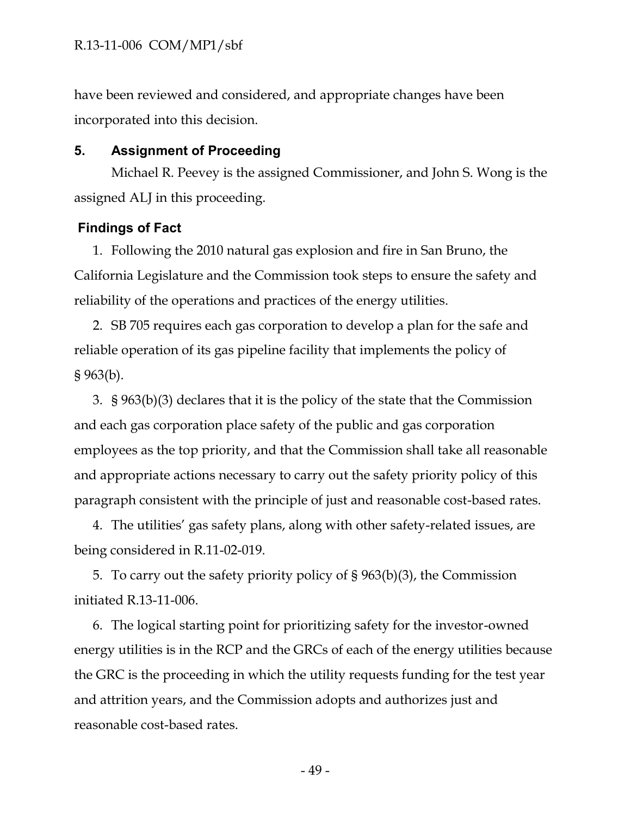have been reviewed and considered, and appropriate changes have been incorporated into this decision.

### <span id="page-49-0"></span>**5. Assignment of Proceeding**

Michael R. Peevey is the assigned Commissioner, and John S. Wong is the assigned ALJ in this proceeding.

### <span id="page-49-1"></span>**Findings of Fact**

1. Following the 2010 natural gas explosion and fire in San Bruno, the California Legislature and the Commission took steps to ensure the safety and reliability of the operations and practices of the energy utilities.

2. SB 705 requires each gas corporation to develop a plan for the safe and reliable operation of its gas pipeline facility that implements the policy of § 963(b).

3. § 963(b)(3) declares that it is the policy of the state that the Commission and each gas corporation place safety of the public and gas corporation employees as the top priority, and that the Commission shall take all reasonable and appropriate actions necessary to carry out the safety priority policy of this paragraph consistent with the principle of just and reasonable cost-based rates.

4. The utilities' gas safety plans, along with other safety-related issues, are being considered in R.11-02-019.

5. To carry out the safety priority policy of § 963(b)(3), the Commission initiated R.13-11-006.

6. The logical starting point for prioritizing safety for the investor-owned energy utilities is in the RCP and the GRCs of each of the energy utilities because the GRC is the proceeding in which the utility requests funding for the test year and attrition years, and the Commission adopts and authorizes just and reasonable cost-based rates.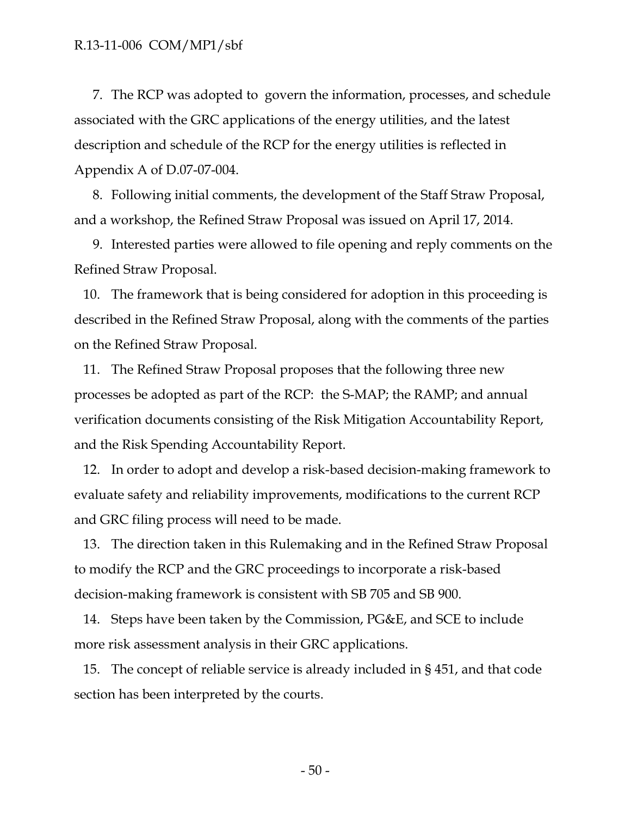7. The RCP was adopted to govern the information, processes, and schedule associated with the GRC applications of the energy utilities, and the latest description and schedule of the RCP for the energy utilities is reflected in Appendix A of D.07-07-004.

8. Following initial comments, the development of the Staff Straw Proposal, and a workshop, the Refined Straw Proposal was issued on April 17, 2014.

9. Interested parties were allowed to file opening and reply comments on the Refined Straw Proposal.

10. The framework that is being considered for adoption in this proceeding is described in the Refined Straw Proposal, along with the comments of the parties on the Refined Straw Proposal.

11. The Refined Straw Proposal proposes that the following three new processes be adopted as part of the RCP: the S-MAP; the RAMP; and annual verification documents consisting of the Risk Mitigation Accountability Report, and the Risk Spending Accountability Report.

12. In order to adopt and develop a risk-based decision-making framework to evaluate safety and reliability improvements, modifications to the current RCP and GRC filing process will need to be made.

13. The direction taken in this Rulemaking and in the Refined Straw Proposal to modify the RCP and the GRC proceedings to incorporate a risk-based decision-making framework is consistent with SB 705 and SB 900.

14. Steps have been taken by the Commission, PG&E, and SCE to include more risk assessment analysis in their GRC applications.

15. The concept of reliable service is already included in § 451, and that code section has been interpreted by the courts.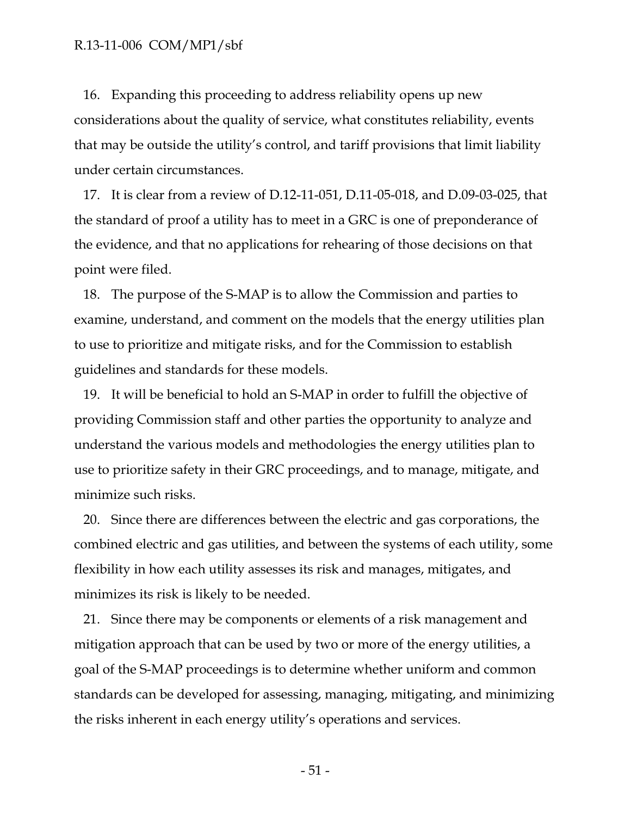16. Expanding this proceeding to address reliability opens up new considerations about the quality of service, what constitutes reliability, events that may be outside the utility's control, and tariff provisions that limit liability under certain circumstances.

17. It is clear from a review of D.12-11-051, D.11-05-018, and D.09-03-025, that the standard of proof a utility has to meet in a GRC is one of preponderance of the evidence, and that no applications for rehearing of those decisions on that point were filed.

18. The purpose of the S-MAP is to allow the Commission and parties to examine, understand, and comment on the models that the energy utilities plan to use to prioritize and mitigate risks, and for the Commission to establish guidelines and standards for these models.

19. It will be beneficial to hold an S-MAP in order to fulfill the objective of providing Commission staff and other parties the opportunity to analyze and understand the various models and methodologies the energy utilities plan to use to prioritize safety in their GRC proceedings, and to manage, mitigate, and minimize such risks.

20. Since there are differences between the electric and gas corporations, the combined electric and gas utilities, and between the systems of each utility, some flexibility in how each utility assesses its risk and manages, mitigates, and minimizes its risk is likely to be needed.

21. Since there may be components or elements of a risk management and mitigation approach that can be used by two or more of the energy utilities, a goal of the S-MAP proceedings is to determine whether uniform and common standards can be developed for assessing, managing, mitigating, and minimizing the risks inherent in each energy utility's operations and services.

- 51 -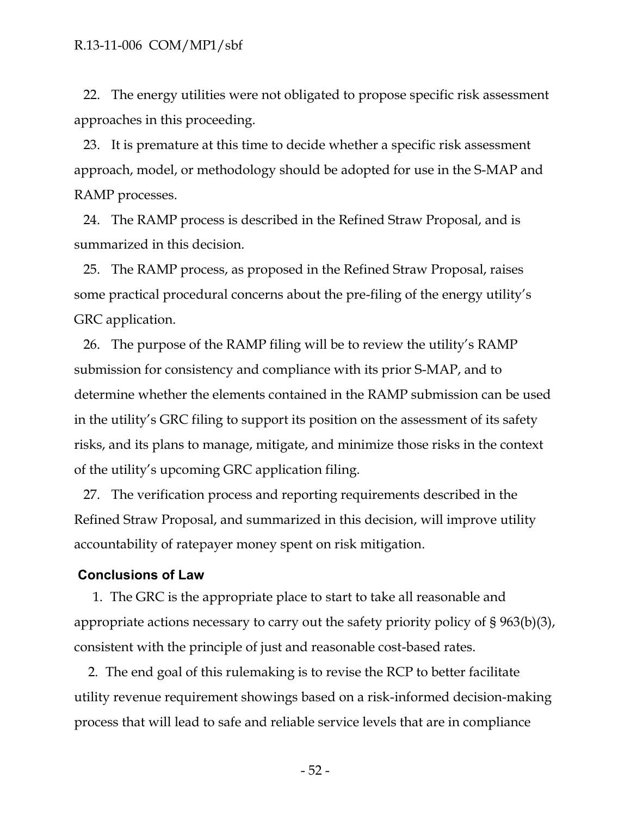22. The energy utilities were not obligated to propose specific risk assessment approaches in this proceeding.

23. It is premature at this time to decide whether a specific risk assessment approach, model, or methodology should be adopted for use in the S-MAP and RAMP processes.

24. The RAMP process is described in the Refined Straw Proposal, and is summarized in this decision.

25. The RAMP process, as proposed in the Refined Straw Proposal, raises some practical procedural concerns about the pre-filing of the energy utility's GRC application.

26. The purpose of the RAMP filing will be to review the utility's RAMP submission for consistency and compliance with its prior S-MAP, and to determine whether the elements contained in the RAMP submission can be used in the utility's GRC filing to support its position on the assessment of its safety risks, and its plans to manage, mitigate, and minimize those risks in the context of the utility's upcoming GRC application filing.

27. The verification process and reporting requirements described in the Refined Straw Proposal, and summarized in this decision, will improve utility accountability of ratepayer money spent on risk mitigation.

#### <span id="page-52-0"></span>**Conclusions of Law**

1. The GRC is the appropriate place to start to take all reasonable and appropriate actions necessary to carry out the safety priority policy of § 963(b)(3), consistent with the principle of just and reasonable cost-based rates.

2. The end goal of this rulemaking is to revise the RCP to better facilitate utility revenue requirement showings based on a risk-informed decision-making process that will lead to safe and reliable service levels that are in compliance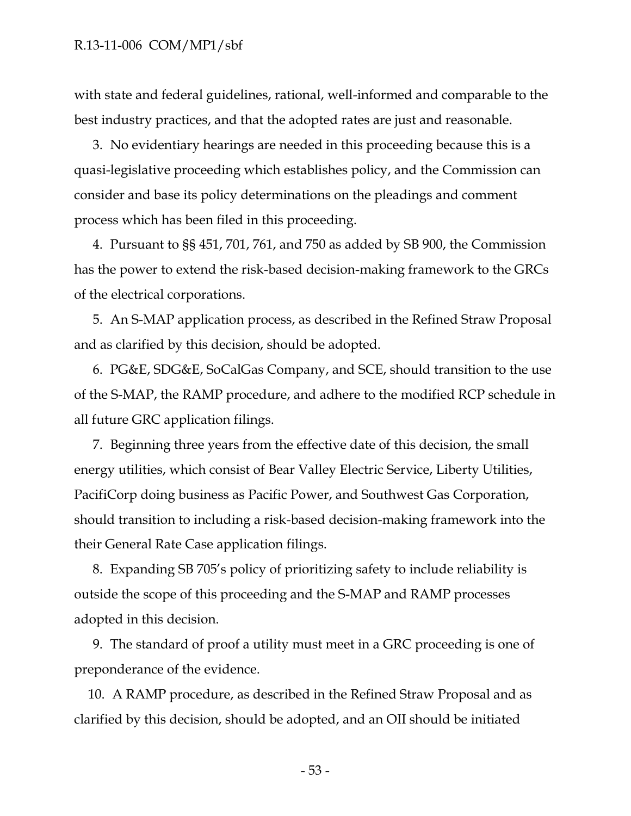with state and federal guidelines, rational, well-informed and comparable to the best industry practices, and that the adopted rates are just and reasonable.

3. No evidentiary hearings are needed in this proceeding because this is a quasi-legislative proceeding which establishes policy, and the Commission can consider and base its policy determinations on the pleadings and comment process which has been filed in this proceeding.

4. Pursuant to §§ 451, 701, 761, and 750 as added by SB 900, the Commission has the power to extend the risk-based decision-making framework to the GRCs of the electrical corporations.

5. An S-MAP application process, as described in the Refined Straw Proposal and as clarified by this decision, should be adopted.

6. PG&E, SDG&E, SoCalGas Company, and SCE, should transition to the use of the S-MAP, the RAMP procedure, and adhere to the modified RCP schedule in all future GRC application filings.

7. Beginning three years from the effective date of this decision, the small energy utilities, which consist of Bear Valley Electric Service, Liberty Utilities, PacifiCorp doing business as Pacific Power, and Southwest Gas Corporation, should transition to including a risk-based decision-making framework into the their General Rate Case application filings.

8. Expanding SB 705's policy of prioritizing safety to include reliability is outside the scope of this proceeding and the S-MAP and RAMP processes adopted in this decision.

9. The standard of proof a utility must meet in a GRC proceeding is one of preponderance of the evidence.

10. A RAMP procedure, as described in the Refined Straw Proposal and as clarified by this decision, should be adopted, and an OII should be initiated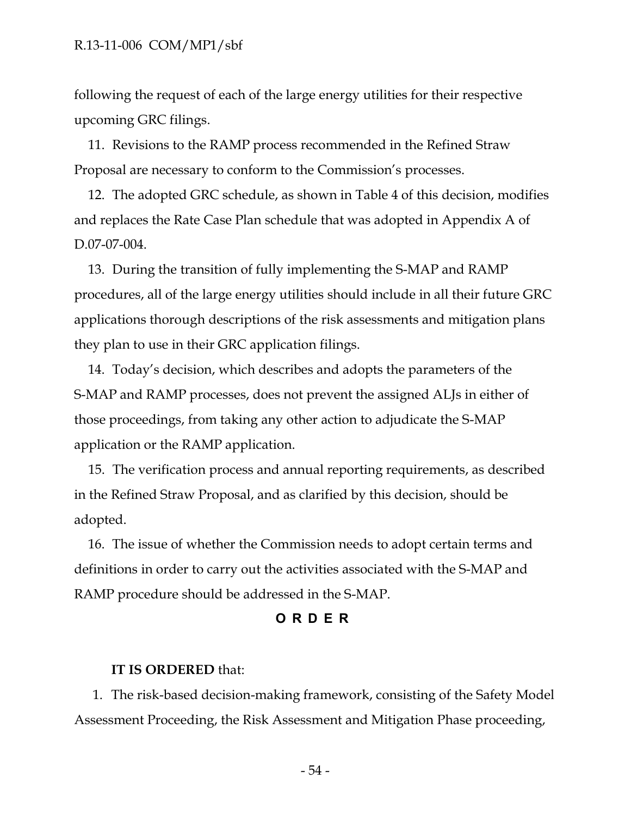following the request of each of the large energy utilities for their respective upcoming GRC filings.

11. Revisions to the RAMP process recommended in the Refined Straw Proposal are necessary to conform to the Commission's processes.

12. The adopted GRC schedule, as shown in Table 4 of this decision, modifies and replaces the Rate Case Plan schedule that was adopted in Appendix A of D.07-07-004.

13. During the transition of fully implementing the S-MAP and RAMP procedures, all of the large energy utilities should include in all their future GRC applications thorough descriptions of the risk assessments and mitigation plans they plan to use in their GRC application filings.

14. Today's decision, which describes and adopts the parameters of the S-MAP and RAMP processes, does not prevent the assigned ALJs in either of those proceedings, from taking any other action to adjudicate the S-MAP application or the RAMP application.

15. The verification process and annual reporting requirements, as described in the Refined Straw Proposal, and as clarified by this decision, should be adopted.

16. The issue of whether the Commission needs to adopt certain terms and definitions in order to carry out the activities associated with the S-MAP and RAMP procedure should be addressed in the S-MAP.

### **ORDER**

### <span id="page-54-0"></span>**IT IS ORDERED** that:

1. The risk-based decision-making framework, consisting of the Safety Model Assessment Proceeding, the Risk Assessment and Mitigation Phase proceeding,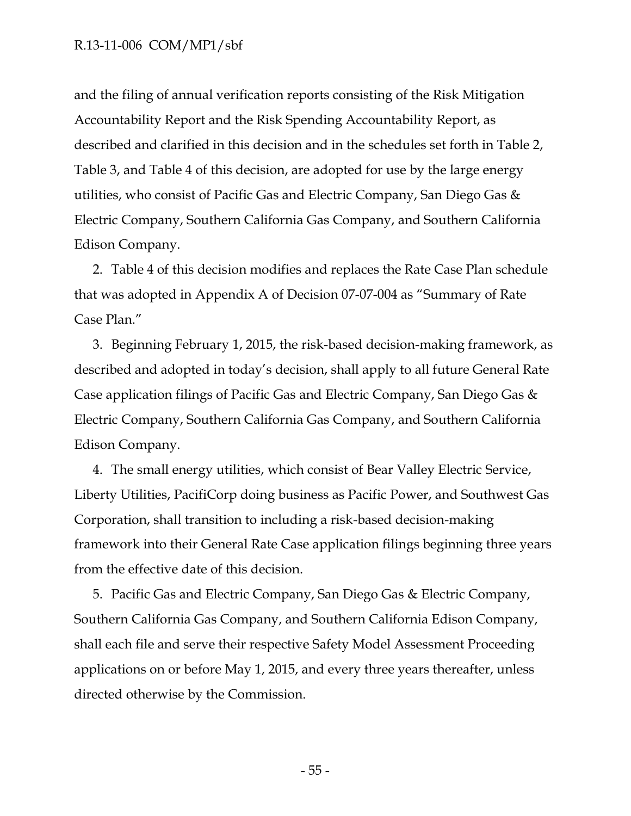and the filing of annual verification reports consisting of the Risk Mitigation Accountability Report and the Risk Spending Accountability Report, as described and clarified in this decision and in the schedules set forth in Table 2, Table 3, and Table 4 of this decision, are adopted for use by the large energy utilities, who consist of Pacific Gas and Electric Company, San Diego Gas & Electric Company, Southern California Gas Company, and Southern California Edison Company.

2. Table 4 of this decision modifies and replaces the Rate Case Plan schedule that was adopted in Appendix A of Decision 07-07-004 as "Summary of Rate Case Plan."

3. Beginning February 1, 2015, the risk-based decision-making framework, as described and adopted in today's decision, shall apply to all future General Rate Case application filings of Pacific Gas and Electric Company, San Diego Gas & Electric Company, Southern California Gas Company, and Southern California Edison Company.

4. The small energy utilities, which consist of Bear Valley Electric Service, Liberty Utilities, PacifiCorp doing business as Pacific Power, and Southwest Gas Corporation, shall transition to including a risk-based decision-making framework into their General Rate Case application filings beginning three years from the effective date of this decision.

5. Pacific Gas and Electric Company, San Diego Gas & Electric Company, Southern California Gas Company, and Southern California Edison Company, shall each file and serve their respective Safety Model Assessment Proceeding applications on or before May 1, 2015, and every three years thereafter, unless directed otherwise by the Commission.